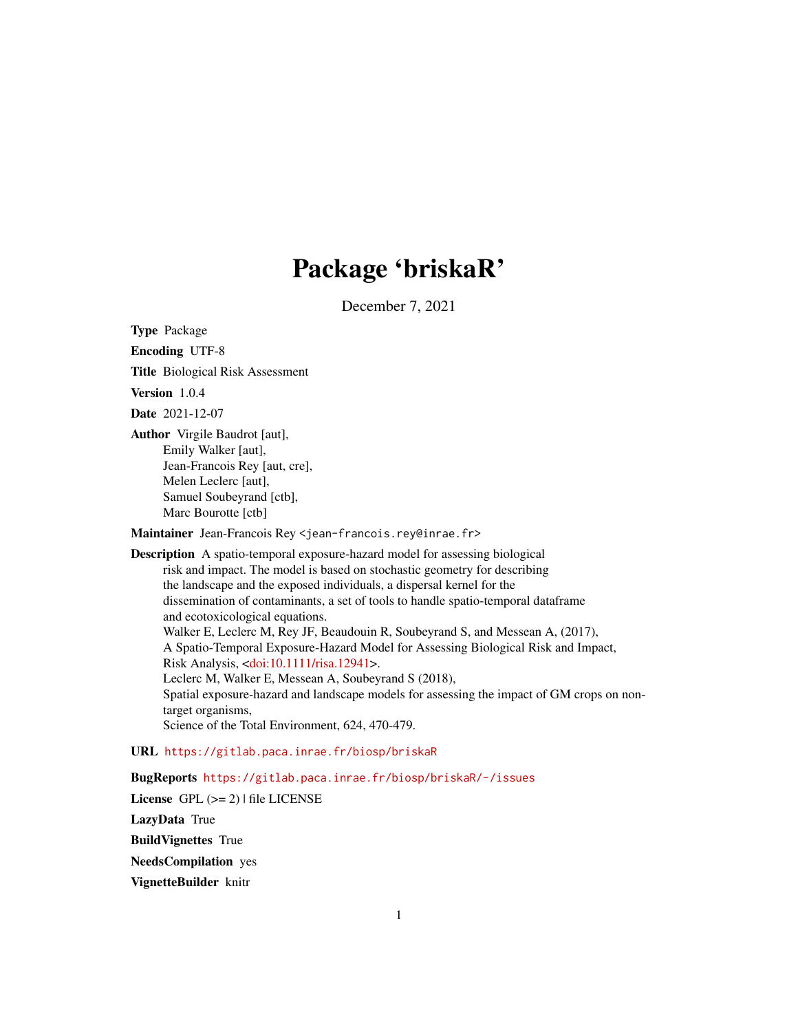# Package 'briskaR'

December 7, 2021

<span id="page-0-0"></span>Type Package

Encoding UTF-8

Title Biological Risk Assessment

Version 1.0.4

Date 2021-12-07

Author Virgile Baudrot [aut], Emily Walker [aut], Jean-Francois Rey [aut, cre], Melen Leclerc [aut], Samuel Soubeyrand [ctb], Marc Bourotte [ctb]

Maintainer Jean-Francois Rey <jean-francois.rey@inrae.fr>

Description A spatio-temporal exposure-hazard model for assessing biological risk and impact. The model is based on stochastic geometry for describing the landscape and the exposed individuals, a dispersal kernel for the dissemination of contaminants, a set of tools to handle spatio-temporal dataframe and ecotoxicological equations. Walker E, Leclerc M, Rey JF, Beaudouin R, Soubeyrand S, and Messean A, (2017), A Spatio-Temporal Exposure-Hazard Model for Assessing Biological Risk and Impact, Risk Analysis, [<doi:10.1111/risa.12941>](https://doi.org/10.1111/risa.12941). Leclerc M, Walker E, Messean A, Soubeyrand S (2018), Spatial exposure-hazard and landscape models for assessing the impact of GM crops on nontarget organisms, Science of the Total Environment, 624, 470-479.

URL <https://gitlab.paca.inrae.fr/biosp/briskaR>

BugReports <https://gitlab.paca.inrae.fr/biosp/briskaR/-/issues>

License GPL  $(>= 2)$  | file LICENSE LazyData True BuildVignettes True NeedsCompilation yes VignetteBuilder knitr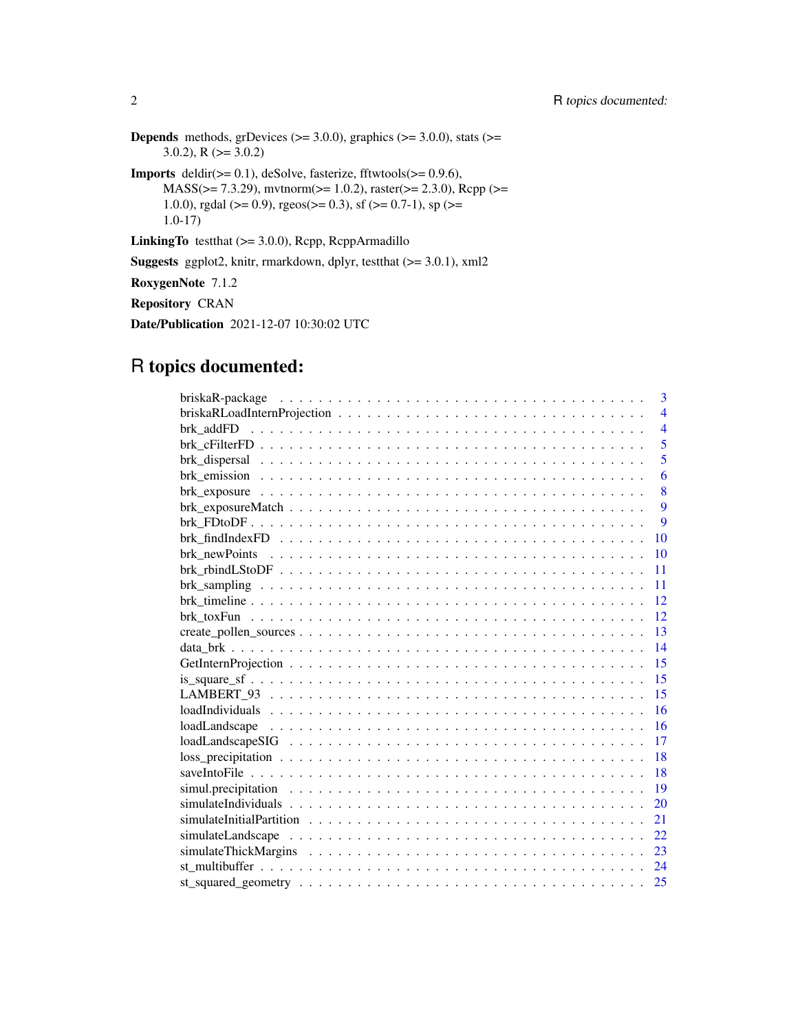**Depends** methods, grDevices ( $>= 3.0.0$ ), graphics ( $>= 3.0.0$ ), stats ( $>=$  $3.0.2$ ), R ( $> = 3.0.2$ )

**Imports** deldir( $>= 0.1$ ), deSolve, fasterize, fftwtools( $>= 0.9.6$ ), MASS(>= 7.3.29), mvtnorm(>= 1.0.2), raster(>= 2.3.0), Rcpp (>= 1.0.0), rgdal (>= 0.9), rgeos(>= 0.3), sf (>= 0.7-1), sp (>= 1.0-17)

LinkingTo testthat (>= 3.0.0), Rcpp, RcppArmadillo

Suggests ggplot2, knitr, rmarkdown, dplyr, testthat (>= 3.0.1), xml2

RoxygenNote 7.1.2

Repository CRAN

Date/Publication 2021-12-07 10:30:02 UTC

# R topics documented:

| 3                                                                                                      |
|--------------------------------------------------------------------------------------------------------|
| $\overline{4}$                                                                                         |
| $\overline{4}$                                                                                         |
| 5                                                                                                      |
| 5                                                                                                      |
| 6                                                                                                      |
| 8                                                                                                      |
| $\mathbf{Q}$                                                                                           |
| $\overline{Q}$                                                                                         |
| 10                                                                                                     |
| 10                                                                                                     |
| 11                                                                                                     |
| 11                                                                                                     |
| 12                                                                                                     |
| 12                                                                                                     |
| 13                                                                                                     |
| 14                                                                                                     |
| 15                                                                                                     |
| 15                                                                                                     |
| 15                                                                                                     |
| 16                                                                                                     |
| 16                                                                                                     |
| $loadLangscape SIG \ldots \ldots \ldots \ldots \ldots \ldots \ldots \ldots \ldots \ldots \ldots$<br>17 |
| 18                                                                                                     |
| 18                                                                                                     |
| 19                                                                                                     |
| 20                                                                                                     |
| 21                                                                                                     |
| 22                                                                                                     |
| 23                                                                                                     |
| 24                                                                                                     |
| 25                                                                                                     |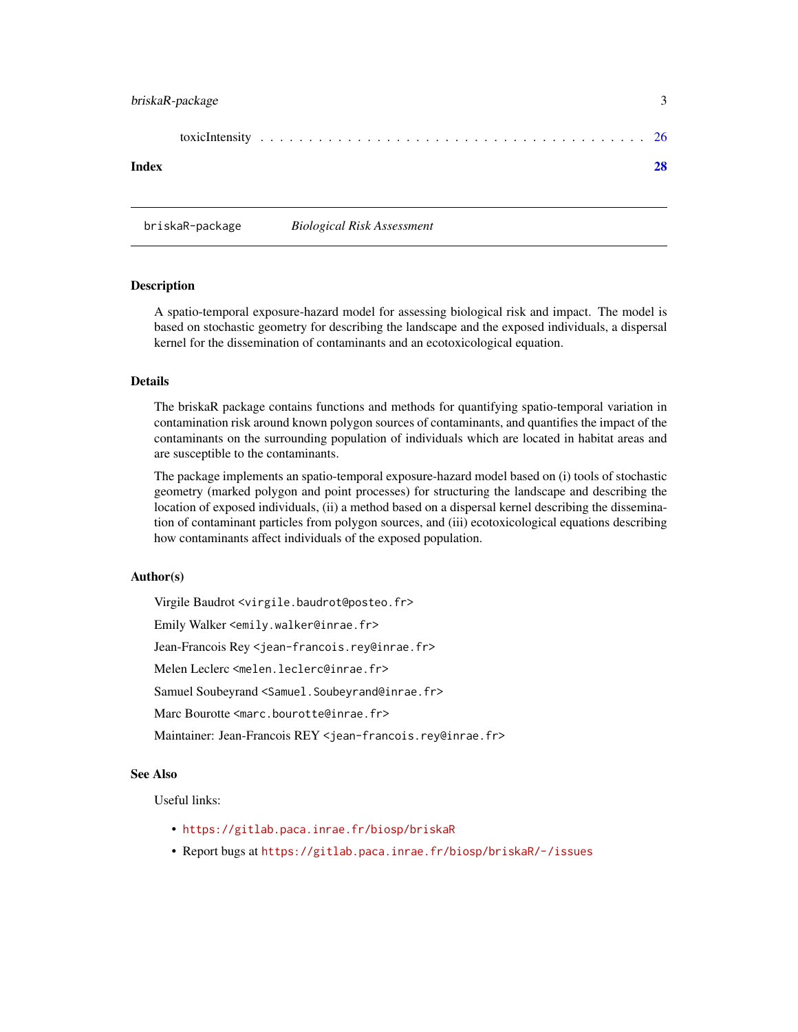## <span id="page-2-0"></span>briskaR-package 3

#### **Index** [28](#page-27-0) and 2012, the contract of the contract of the contract of the contract of the contract of the contract of the contract of the contract of the contract of the contract of the contract of the contract of the contr

briskaR-package *Biological Risk Assessment*

#### **Description**

A spatio-temporal exposure-hazard model for assessing biological risk and impact. The model is based on stochastic geometry for describing the landscape and the exposed individuals, a dispersal kernel for the dissemination of contaminants and an ecotoxicological equation.

#### Details

The briskaR package contains functions and methods for quantifying spatio-temporal variation in contamination risk around known polygon sources of contaminants, and quantifies the impact of the contaminants on the surrounding population of individuals which are located in habitat areas and are susceptible to the contaminants.

The package implements an spatio-temporal exposure-hazard model based on (i) tools of stochastic geometry (marked polygon and point processes) for structuring the landscape and describing the location of exposed individuals, (ii) a method based on a dispersal kernel describing the dissemination of contaminant particles from polygon sources, and (iii) ecotoxicological equations describing how contaminants affect individuals of the exposed population.

#### Author(s)

Virgile Baudrot <virgile.baudrot@posteo.fr> Emily Walker <emily.walker@inrae.fr> Jean-Francois Rey <jean-francois.rey@inrae.fr> Melen Leclerc <melen.leclerc@inrae.fr> Samuel Soubeyrand <Samuel.Soubeyrand@inrae.fr> Marc Bourotte <marc.bourotte@inrae.fr> Maintainer: Jean-Francois REY <jean-francois.rey@inrae.fr>

#### See Also

Useful links:

- <https://gitlab.paca.inrae.fr/biosp/briskaR>
- Report bugs at <https://gitlab.paca.inrae.fr/biosp/briskaR/-/issues>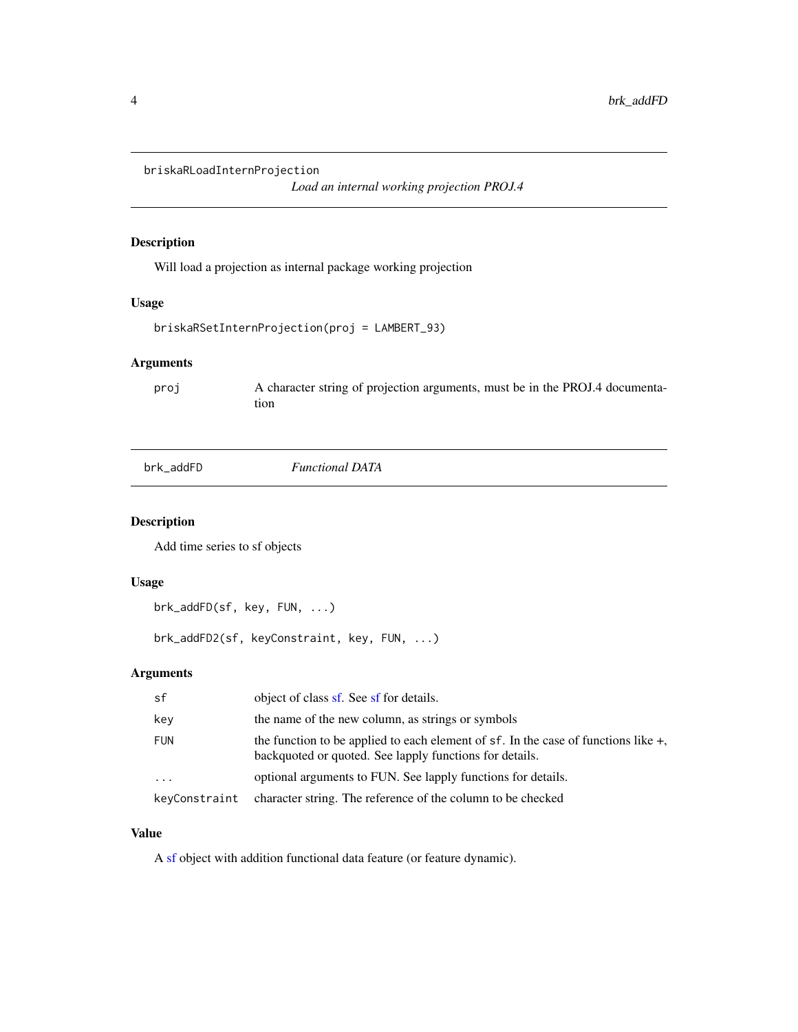<span id="page-3-0"></span>briskaRLoadInternProjection

*Load an internal working projection PROJ.4*

## Description

Will load a projection as internal package working projection

#### Usage

```
briskaRSetInternProjection(proj = LAMBERT_93)
```
## Arguments

proj A character string of projection arguments, must be in the PROJ.4 documentation

| brk addFD |
|-----------|
|-----------|

#### $Functional$  DATA

### Description

Add time series to sf objects

## Usage

```
brk_addFD(sf, key, FUN, ...)
```
brk\_addFD2(sf, keyConstraint, key, FUN, ...)

## Arguments

| sf            | object of class sf. See sf for details.                                                                                                            |
|---------------|----------------------------------------------------------------------------------------------------------------------------------------------------|
| key           | the name of the new column, as strings or symbols                                                                                                  |
| <b>FUN</b>    | the function to be applied to each element of $sf.$ In the case of functions like $+$ ,<br>backquoted or quoted. See lapply functions for details. |
| $\cdots$      | optional arguments to FUN. See lapply functions for details.                                                                                       |
| keyConstraint | character string. The reference of the column to be checked                                                                                        |

## Value

A [sf](#page-0-0) object with addition functional data feature (or feature dynamic).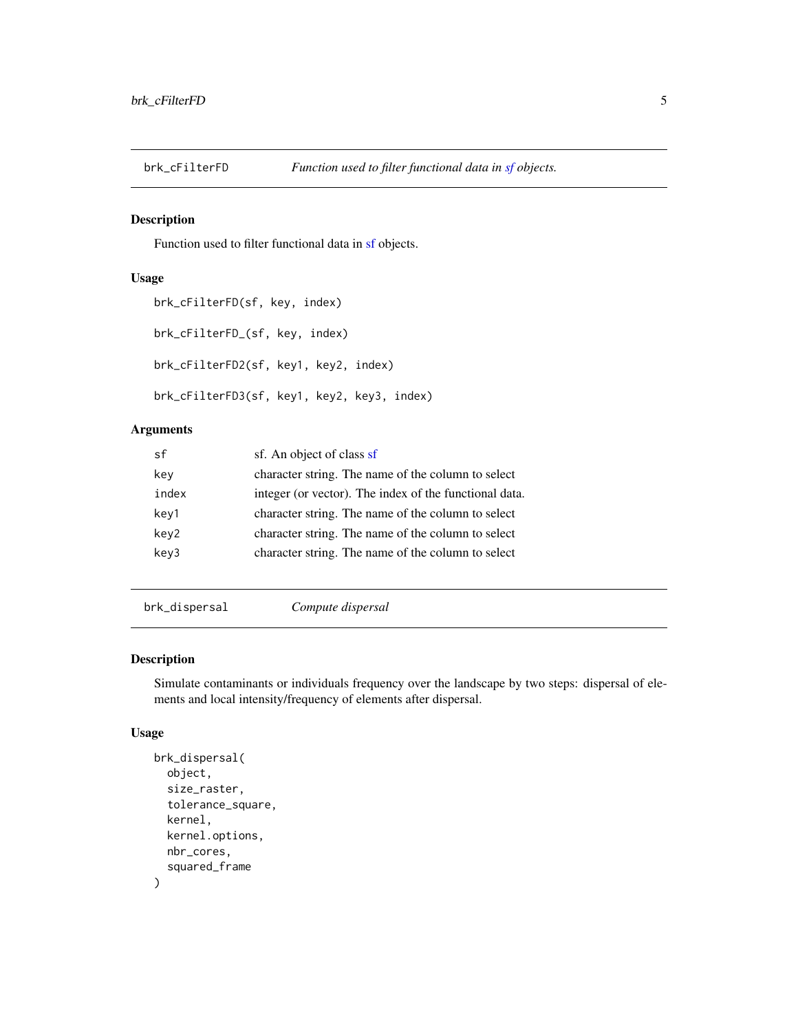<span id="page-4-0"></span>

Function used to filter functional data in [sf](#page-0-0) objects.

### Usage

```
brk_cFilterFD(sf, key, index)
brk_cFilterFD_(sf, key, index)
brk_cFilterFD2(sf, key1, key2, index)
brk_cFilterFD3(sf, key1, key2, key3, index)
```
## Arguments

| .sf   | sf. An object of class sf                              |
|-------|--------------------------------------------------------|
| key   | character string. The name of the column to select     |
| index | integer (or vector). The index of the functional data. |
| key1  | character string. The name of the column to select     |
| key2  | character string. The name of the column to select     |
| key3  | character string. The name of the column to select     |
|       |                                                        |

brk\_dispersal *Compute dispersal*

### Description

Simulate contaminants or individuals frequency over the landscape by two steps: dispersal of elements and local intensity/frequency of elements after dispersal.

```
brk_dispersal(
  object,
  size_raster,
  tolerance_square,
  kernel,
  kernel.options,
  nbr_cores,
  squared_frame
\mathcal{E}
```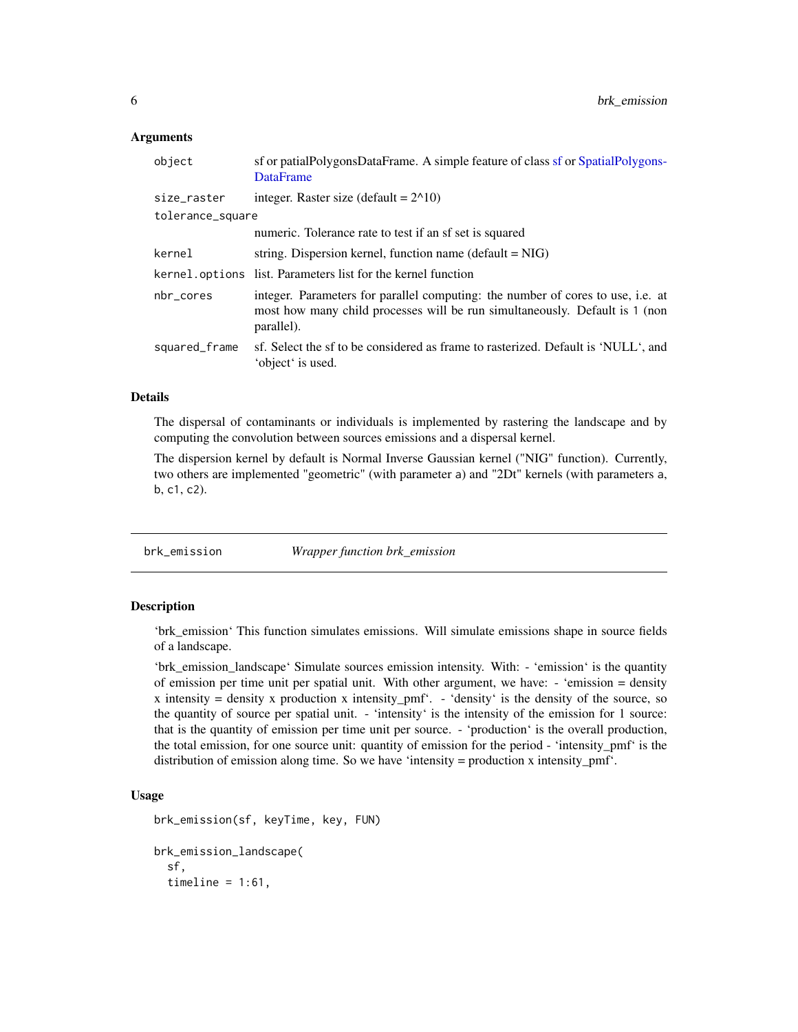#### <span id="page-5-0"></span>Arguments

| object           | sf or patialPolygonsDataFrame. A simple feature of class sf or SpatialPolygons-<br><b>DataFrame</b>                                                                          |
|------------------|------------------------------------------------------------------------------------------------------------------------------------------------------------------------------|
| size_raster      | integer. Raster size (default = $2^{\wedge}10$ )                                                                                                                             |
| tolerance_square |                                                                                                                                                                              |
|                  | numeric. Tolerance rate to test if an sf set is squared                                                                                                                      |
| kernel           | string. Dispersion kernel, function name (default $= NIG$ )                                                                                                                  |
|                  | kernel.options list. Parameters list for the kernel function                                                                                                                 |
| nbr_cores        | integer. Parameters for parallel computing: the number of cores to use, i.e. at<br>most how many child processes will be run simultaneously. Default is 1 (non<br>parallel). |
| squared_frame    | sf. Select the sf to be considered as frame to rasterized. Default is 'NULL', and<br>'object' is used.                                                                       |

#### Details

The dispersal of contaminants or individuals is implemented by rastering the landscape and by computing the convolution between sources emissions and a dispersal kernel.

The dispersion kernel by default is Normal Inverse Gaussian kernel ("NIG" function). Currently, two others are implemented "geometric" (with parameter a) and "2Dt" kernels (with parameters a, b, c1, c2).

brk\_emission *Wrapper function brk\_emission*

#### Description

'brk\_emission' This function simulates emissions. Will simulate emissions shape in source fields of a landscape.

'brk\_emission\_landscape' Simulate sources emission intensity. With: - 'emission' is the quantity of emission per time unit per spatial unit. With other argument, we have: - 'emission = density x intensity = density x production x intensity\_pmf'.  $-$  'density' is the density of the source, so the quantity of source per spatial unit. - 'intensity' is the intensity of the emission for 1 source: that is the quantity of emission per time unit per source. - 'production' is the overall production, the total emission, for one source unit: quantity of emission for the period - 'intensity\_pmf' is the distribution of emission along time. So we have 'intensity = production x intensity\_pmf'.

```
brk_emission(sf, keyTime, key, FUN)
brk_emission_landscape(
  sf,
  timeline = 1:61,
```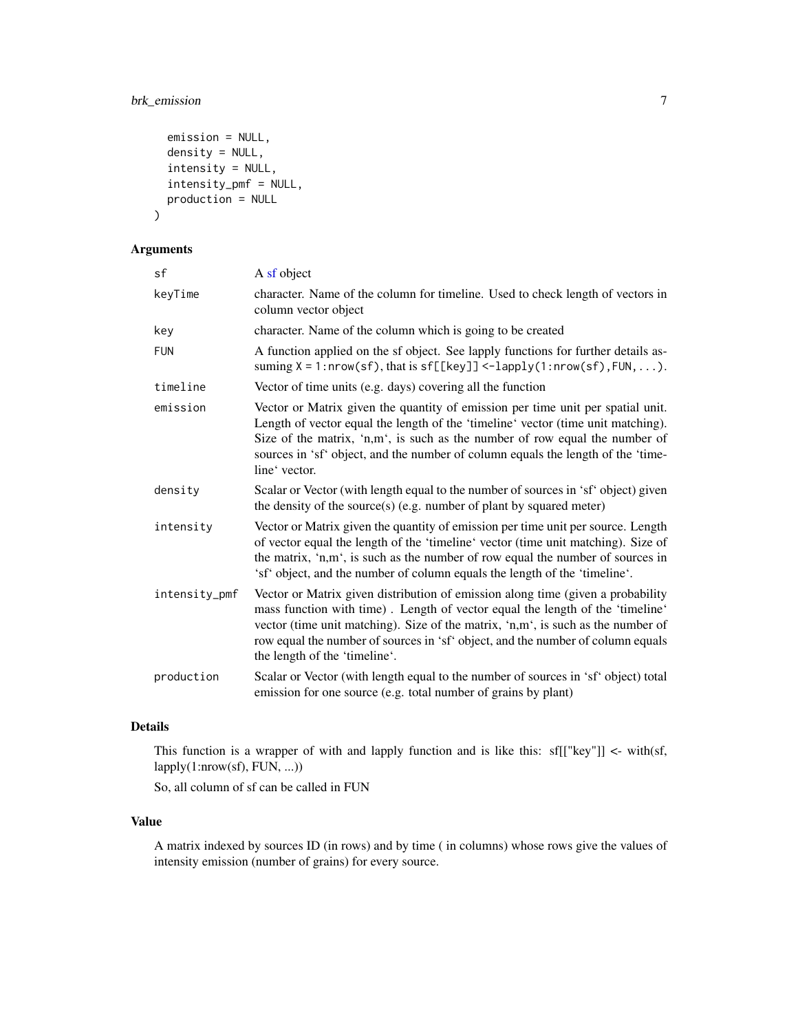# brk\_emission 7

```
emission = NULL,
 density = NULL,
  intensity = NULL,
  intensity_pmf = NULL,
 production = NULL
)
```
## Arguments

| sf            | A sf object                                                                                                                                                                                                                                                                                                                                                              |
|---------------|--------------------------------------------------------------------------------------------------------------------------------------------------------------------------------------------------------------------------------------------------------------------------------------------------------------------------------------------------------------------------|
| keyTime       | character. Name of the column for timeline. Used to check length of vectors in<br>column vector object                                                                                                                                                                                                                                                                   |
| key           | character. Name of the column which is going to be created                                                                                                                                                                                                                                                                                                               |
| <b>FUN</b>    | A function applied on the sf object. See lapply functions for further details as-<br>suming $X = 1$ : nrow(sf), that is $sf[[key]] < -lapply(1:nrow(sf),FW, )$ .                                                                                                                                                                                                         |
| timeline      | Vector of time units (e.g. days) covering all the function                                                                                                                                                                                                                                                                                                               |
| emission      | Vector or Matrix given the quantity of emission per time unit per spatial unit.<br>Length of vector equal the length of the 'timeline' vector (time unit matching).<br>Size of the matrix, 'n,m', is such as the number of row equal the number of<br>sources in 'sf' object, and the number of column equals the length of the 'time-<br>line' vector.                  |
| density       | Scalar or Vector (with length equal to the number of sources in 'sf' object) given<br>the density of the source(s) (e.g. number of plant by squared meter)                                                                                                                                                                                                               |
| intensity     | Vector or Matrix given the quantity of emission per time unit per source. Length<br>of vector equal the length of the 'timeline' vector (time unit matching). Size of<br>the matrix, 'n,m', is such as the number of row equal the number of sources in<br>'sf' object, and the number of column equals the length of the 'timeline'.                                    |
| intensity_pmf | Vector or Matrix given distribution of emission along time (given a probability<br>mass function with time). Length of vector equal the length of the 'timeline'<br>vector (time unit matching). Size of the matrix, 'n,m', is such as the number of<br>row equal the number of sources in 'sf' object, and the number of column equals<br>the length of the 'timeline'. |
| production    | Scalar or Vector (with length equal to the number of sources in 'sf' object) total<br>emission for one source (e.g. total number of grains by plant)                                                                                                                                                                                                                     |

## Details

This function is a wrapper of with and lapply function and is like this: sf[["key"]] <- with(sf, lapply(1:nrow(sf), FUN, ...))

So, all column of sf can be called in FUN

#### Value

A matrix indexed by sources ID (in rows) and by time ( in columns) whose rows give the values of intensity emission (number of grains) for every source.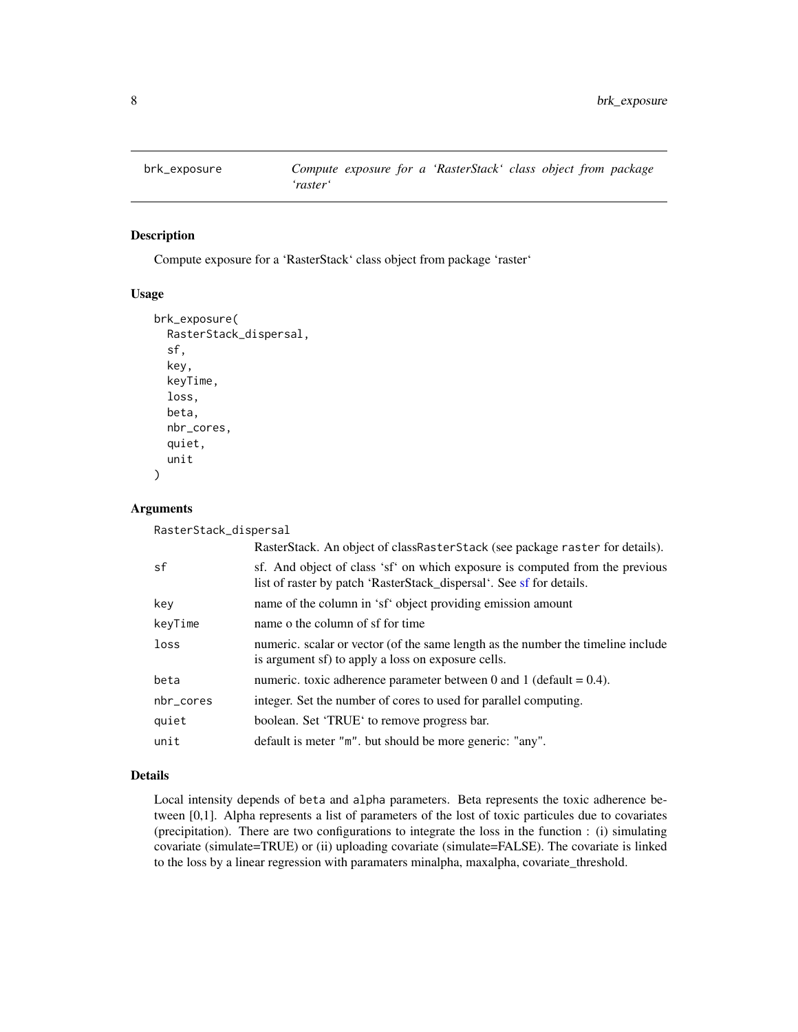<span id="page-7-0"></span>

Compute exposure for a 'RasterStack' class object from package 'raster'

### Usage

```
brk_exposure(
  RasterStack_dispersal,
  sf,
  key,
  keyTime,
  loss,
  beta,
  nbr_cores,
  quiet,
  unit
)
```
### Arguments

RasterStack\_dispersal

|           | RasterStack. An object of classRasterStack (see package raster for details).                                                                         |
|-----------|------------------------------------------------------------------------------------------------------------------------------------------------------|
| sf        | sf. And object of class 'sf' on which exposure is computed from the previous<br>list of raster by patch 'RasterStack_dispersal'. See sf for details. |
| key       | name of the column in 'sf' object providing emission amount                                                                                          |
| keyTime   | name o the column of sf for time                                                                                                                     |
| loss      | numeric. scalar or vector (of the same length as the number the timeline include<br>is argument sf) to apply a loss on exposure cells.               |
| beta      | numeric, toxic adherence parameter between 0 and 1 (default = $0.4$ ).                                                                               |
| nbr_cores | integer. Set the number of cores to used for parallel computing.                                                                                     |
| quiet     | boolean. Set 'TRUE' to remove progress bar.                                                                                                          |
| unit      | default is meter "m". but should be more generic: "any".                                                                                             |

## Details

Local intensity depends of beta and alpha parameters. Beta represents the toxic adherence between [0,1]. Alpha represents a list of parameters of the lost of toxic particules due to covariates (precipitation). There are two configurations to integrate the loss in the function : (i) simulating covariate (simulate=TRUE) or (ii) uploading covariate (simulate=FALSE). The covariate is linked to the loss by a linear regression with paramaters minalpha, maxalpha, covariate\_threshold.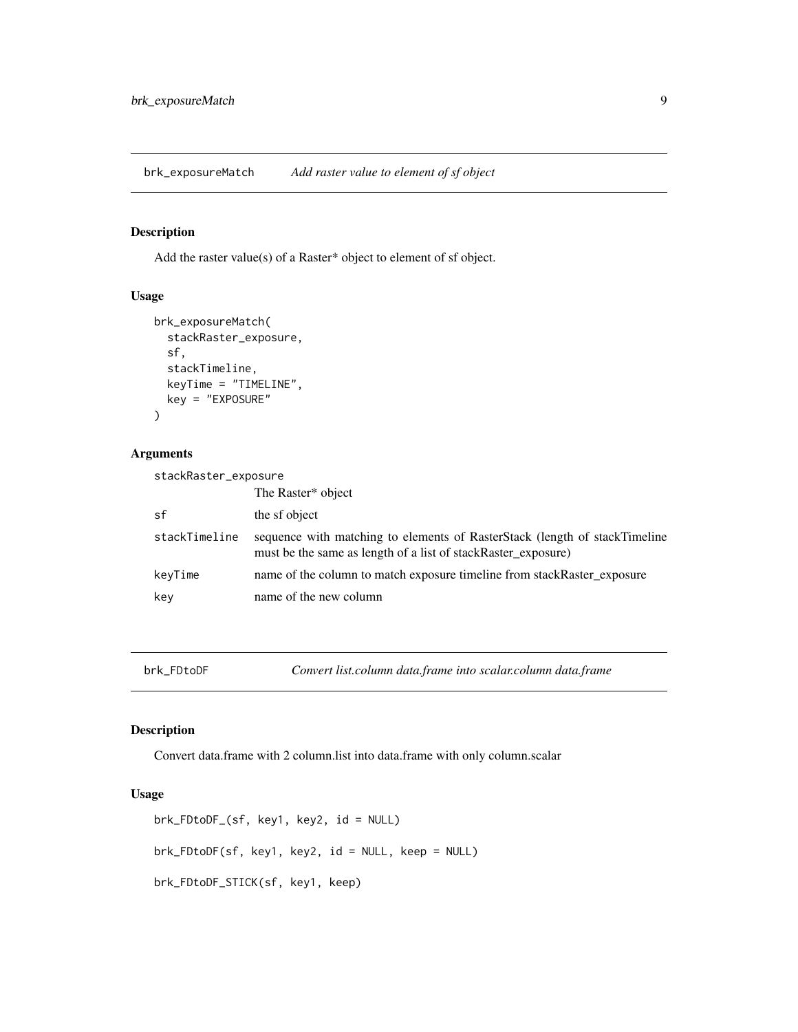<span id="page-8-0"></span>brk\_exposureMatch *Add raster value to element of sf object*

#### Description

Add the raster value(s) of a Raster\* object to element of sf object.

#### Usage

```
brk_exposureMatch(
  stackRaster_exposure,
  sf,
  stackTimeline,
  keyTime = "TIMELINE",
  key = "EXPOSURE"
\mathcal{L}
```
## Arguments

| stackRaster_exposure |                                                                                                                                             |
|----------------------|---------------------------------------------------------------------------------------------------------------------------------------------|
|                      | The Raster* object                                                                                                                          |
| sf                   | the sf object                                                                                                                               |
| stackTimeline        | sequence with matching to elements of RasterStack (length of stackTimeline<br>must be the same as length of a list of stackRaster_exposure) |
| keyTime              | name of the column to match exposure timeline from stackRaster_exposure                                                                     |
| key                  | name of the new column                                                                                                                      |

brk\_FDtoDF *Convert list.column data.frame into scalar.column data.frame*

# Description

Convert data.frame with 2 column.list into data.frame with only column.scalar

```
brk_FDtoDF_(sf, key1, key2, id = NULL)
brk_FDtoDF(sf, key1, key2, id = NULL, keep = NULL)
brk_FDtoDF_STICK(sf, key1, keep)
```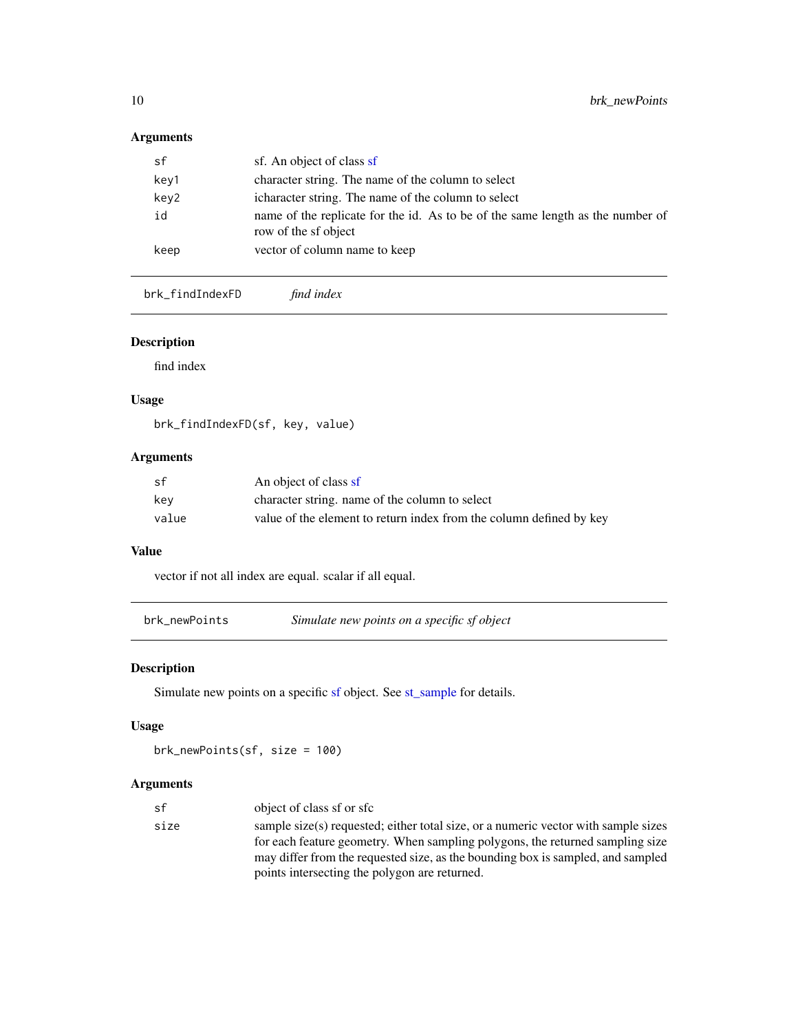## <span id="page-9-0"></span>Arguments

| sf   | sf. An object of class sf                                                                              |
|------|--------------------------------------------------------------------------------------------------------|
| key1 | character string. The name of the column to select                                                     |
| key2 | icharacter string. The name of the column to select                                                    |
| id   | name of the replicate for the id. As to be of the same length as the number of<br>row of the sf object |
| keep | vector of column name to keep                                                                          |

brk\_findIndexFD *find index*

# Description

find index

## Usage

brk\_findIndexFD(sf, key, value)

### Arguments

| .sf   | An object of class sf                                               |
|-------|---------------------------------------------------------------------|
| kev   | character string, name of the column to select                      |
| value | value of the element to return index from the column defined by key |

## Value

vector if not all index are equal. scalar if all equal.

| brk_newPoints | Simulate new points on a specific sf object |  |  |
|---------------|---------------------------------------------|--|--|
|               |                                             |  |  |

# Description

Simulate new points on a specific [sf](#page-0-0) object. See [st\\_sample](#page-0-0) for details.

# Usage

brk\_newPoints(sf, size = 100)

| sf   | object of class sf or sfc                                                          |
|------|------------------------------------------------------------------------------------|
| size | sample size(s) requested; either total size, or a numeric vector with sample sizes |
|      | for each feature geometry. When sampling polygons, the returned sampling size      |
|      | may differ from the requested size, as the bounding box is sampled, and sampled    |
|      | points intersecting the polygon are returned.                                      |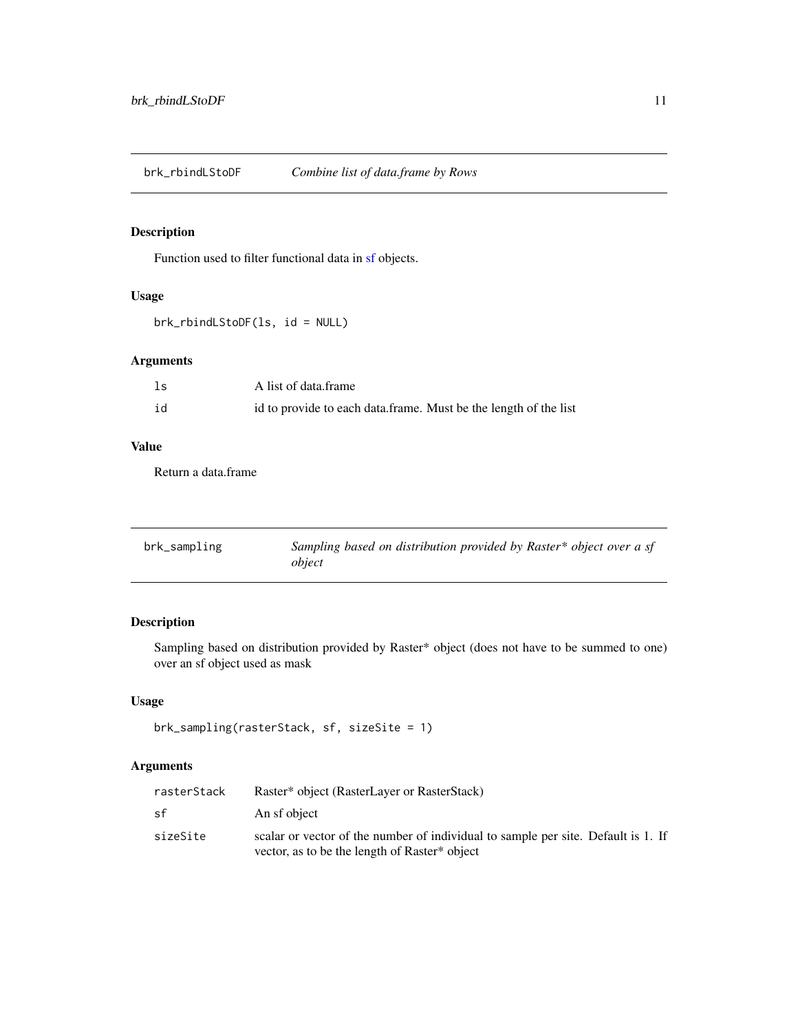<span id="page-10-0"></span>brk\_rbindLStoDF *Combine list of data.frame by Rows*

# Description

Function used to filter functional data in [sf](#page-0-0) objects.

### Usage

```
brk_rbindLStoDF(ls, id = NULL)
```
## Arguments

| ls | A list of data frame                                             |
|----|------------------------------------------------------------------|
| id | id to provide to each data.frame. Must be the length of the list |

#### Value

Return a data.frame

| brk_sampling | Sampling based on distribution provided by Raster* object over a sf |
|--------------|---------------------------------------------------------------------|
|              | object                                                              |

### Description

Sampling based on distribution provided by Raster\* object (does not have to be summed to one) over an sf object used as mask

#### Usage

```
brk_sampling(rasterStack, sf, sizeSite = 1)
```

| rasterStack | Raster* object (RasterLayer or RasterStack)                                                                                        |
|-------------|------------------------------------------------------------------------------------------------------------------------------------|
| sf          | An sf object                                                                                                                       |
| sizeSite    | scalar or vector of the number of individual to sample per site. Default is 1. If<br>vector, as to be the length of Raster* object |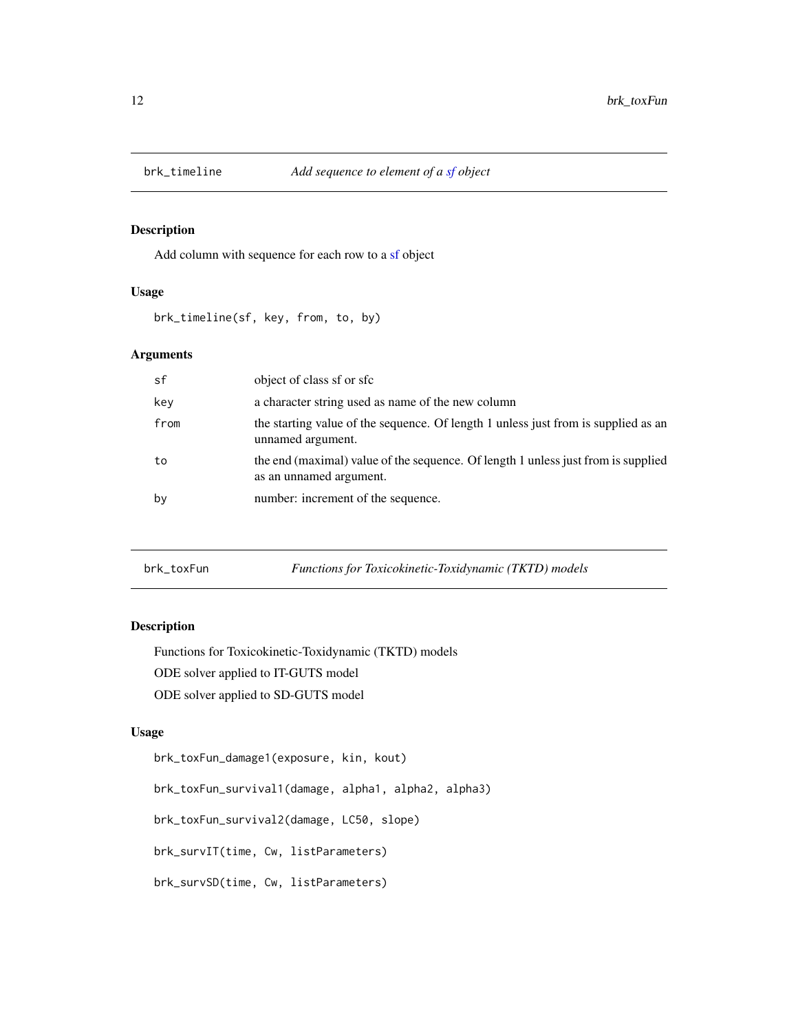<span id="page-11-0"></span>

Add column with sequence for each row to a [sf](#page-0-0) object

#### Usage

brk\_timeline(sf, key, from, to, by)

#### Arguments

| sf   | object of class sf or sfc                                                                                    |
|------|--------------------------------------------------------------------------------------------------------------|
| key  | a character string used as name of the new column                                                            |
| from | the starting value of the sequence. Of length 1 unless just from is supplied as an<br>unnamed argument.      |
| to   | the end (maximal) value of the sequence. Of length 1 unless just from is supplied<br>as an unnamed argument. |
| by   | number: increment of the sequence.                                                                           |

brk\_toxFun *Functions for Toxicokinetic-Toxidynamic (TKTD) models*

#### Description

Functions for Toxicokinetic-Toxidynamic (TKTD) models ODE solver applied to IT-GUTS model ODE solver applied to SD-GUTS model

#### Usage

brk\_toxFun\_damage1(exposure, kin, kout)

brk\_toxFun\_survival1(damage, alpha1, alpha2, alpha3)

brk\_toxFun\_survival2(damage, LC50, slope)

brk\_survIT(time, Cw, listParameters)

brk\_survSD(time, Cw, listParameters)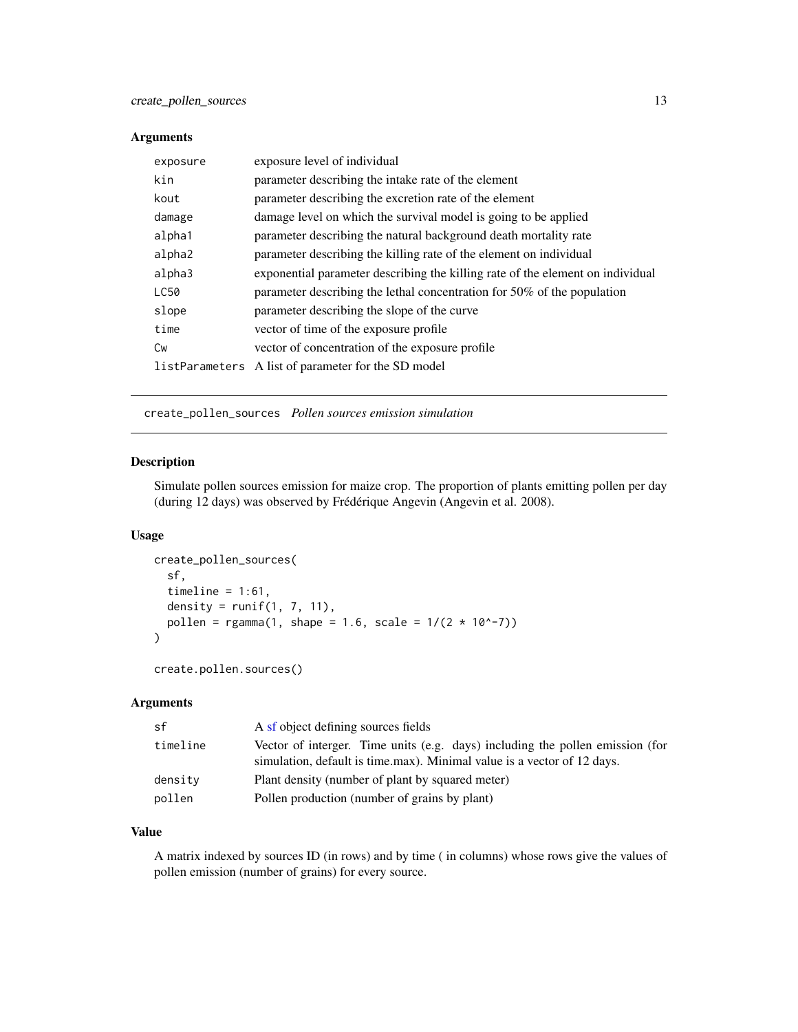#### <span id="page-12-0"></span>Arguments

| exposure | exposure level of individual                                                   |
|----------|--------------------------------------------------------------------------------|
| kin      | parameter describing the intake rate of the element                            |
| kout     | parameter describing the excretion rate of the element                         |
| damage   | damage level on which the survival model is going to be applied                |
| alpha1   | parameter describing the natural background death mortality rate               |
| alpha2   | parameter describing the killing rate of the element on individual             |
| alpha3   | exponential parameter describing the killing rate of the element on individual |
| LC50     | parameter describing the lethal concentration for 50% of the population        |
| slope    | parameter describing the slope of the curve                                    |
| time     | vector of time of the exposure profile                                         |
| Cw       | vector of concentration of the exposure profile                                |
|          | listParameters A list of parameter for the SD model                            |

create\_pollen\_sources *Pollen sources emission simulation*

#### Description

Simulate pollen sources emission for maize crop. The proportion of plants emitting pollen per day (during 12 days) was observed by Frédérique Angevin (Angevin et al. 2008).

#### Usage

```
create_pollen_sources(
  sf,
  timeline = 1:61,
  density = runif(1, 7, 11),
  pollen = rgamma(1, shape = 1.6, scale = 1/(2 * 10^2 - 7))\mathcal{L}
```

```
create.pollen.sources()
```
### Arguments

| sf       | A sf object defining sources fields                                                                                                                      |  |
|----------|----------------------------------------------------------------------------------------------------------------------------------------------------------|--|
| timeline | Vector of interger. Time units (e.g. days) including the pollen emission (for<br>simulation, default is time max). Minimal value is a vector of 12 days. |  |
| density  | Plant density (number of plant by squared meter)                                                                                                         |  |
| pollen   | Pollen production (number of grains by plant)                                                                                                            |  |

#### Value

A matrix indexed by sources ID (in rows) and by time ( in columns) whose rows give the values of pollen emission (number of grains) for every source.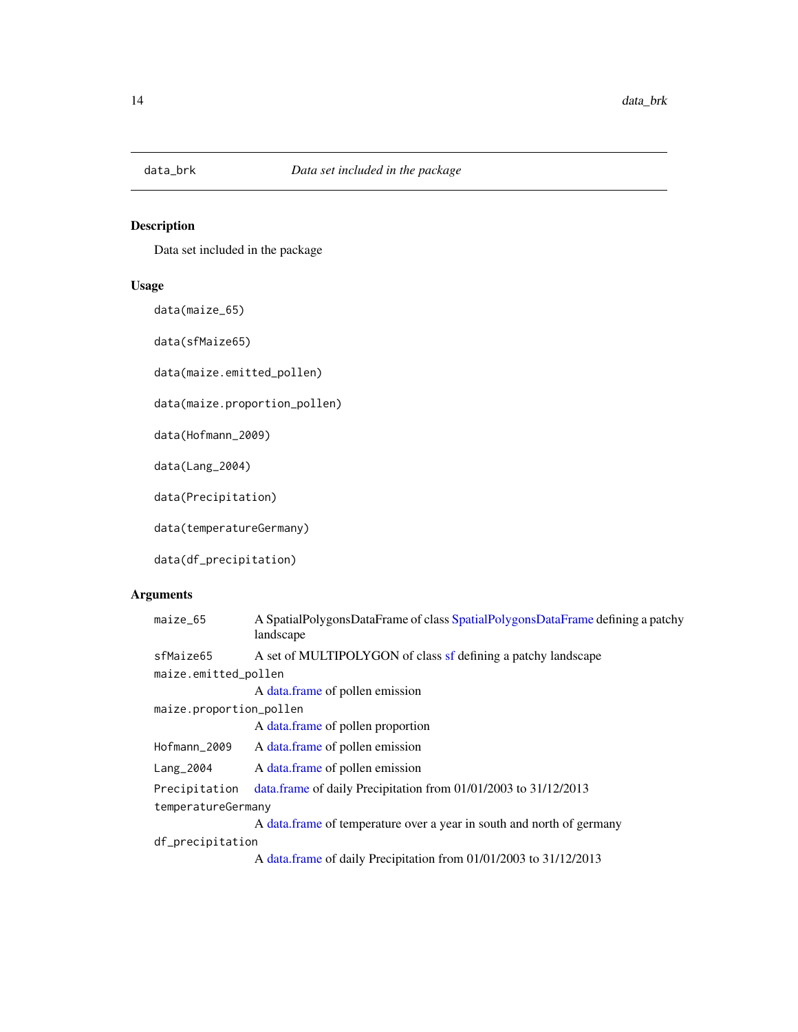<span id="page-13-0"></span>

Data set included in the package

### Usage

data(maize\_65)

data(sfMaize65)

data(maize.emitted\_pollen)

data(maize.proportion\_pollen)

data(Hofmann\_2009)

data(Lang\_2004)

data(Precipitation)

data(temperatureGermany)

data(df\_precipitation)

| A SpatialPolygonsDataFrame of class SpatialPolygonsDataFrame defining a patchy<br>landscape |
|---------------------------------------------------------------------------------------------|
| A set of MULTIPOLYGON of class sf defining a patchy landscape                               |
| maize.emitted_pollen                                                                        |
| A data frame of pollen emission                                                             |
| maize.proportion_pollen                                                                     |
| A data frame of pollen proportion                                                           |
| A data frame of pollen emission                                                             |
| A data frame of pollen emission                                                             |
| data.frame of daily Precipitation from 01/01/2003 to 31/12/2013                             |
| temperatureGermany                                                                          |
| A data.frame of temperature over a year in south and north of germany                       |
| df_precipitation                                                                            |
| A data.frame of daily Precipitation from 01/01/2003 to 31/12/2013                           |
|                                                                                             |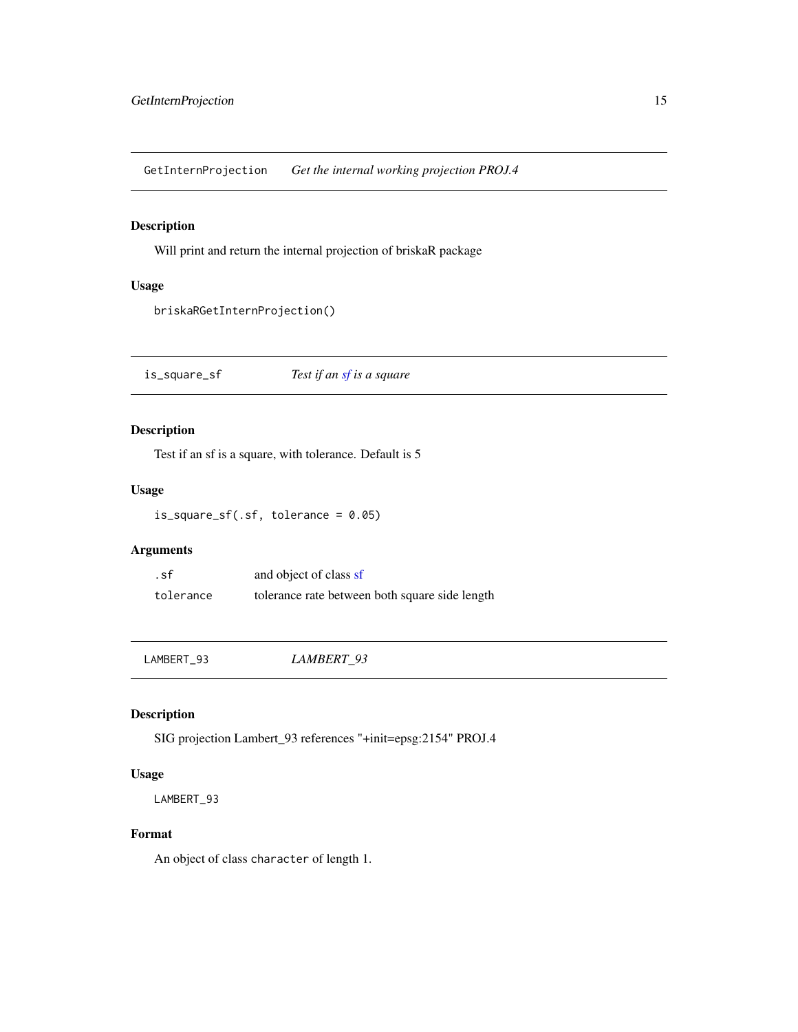<span id="page-14-0"></span>GetInternProjection *Get the internal working projection PROJ.4*

## Description

Will print and return the internal projection of briskaR package

## Usage

briskaRGetInternProjection()

is\_square\_sf *Test if an [sf](#page-0-0) is a square*

### Description

Test if an sf is a square, with tolerance. Default is 5

#### Usage

is\_square\_sf(.sf, tolerance = 0.05)

## Arguments

.sf and object of class [sf](#page-0-0) tolerance tolerance rate between both square side length

LAMBERT\_93 *LAMBERT\_93*

### Description

SIG projection Lambert\_93 references "+init=epsg:2154" PROJ.4

## Usage

LAMBERT\_93

## Format

An object of class character of length 1.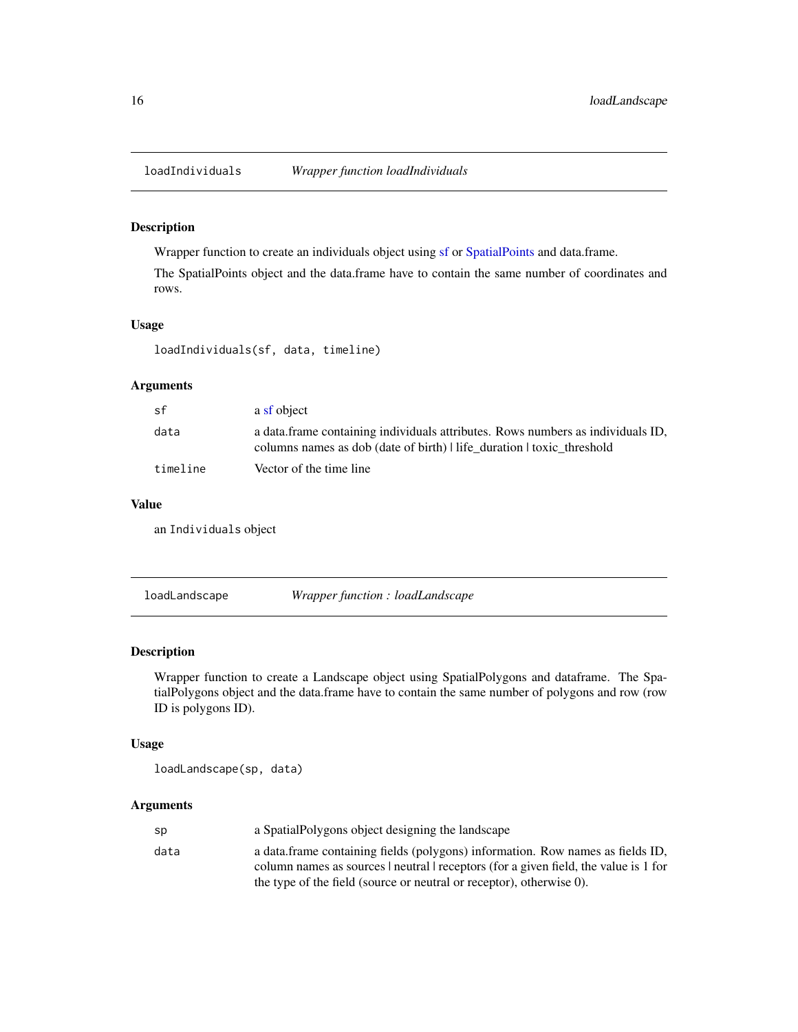<span id="page-15-0"></span>

Wrapper function to create an individuals object using [sf](#page-0-0) or [SpatialPoints](#page-0-0) and data.frame.

The SpatialPoints object and the data.frame have to contain the same number of coordinates and rows.

#### Usage

loadIndividuals(sf, data, timeline)

### Arguments

| sf       | a sf object                                                                                                                                           |
|----------|-------------------------------------------------------------------------------------------------------------------------------------------------------|
| data     | a data frame containing individuals attributes. Rows numbers as individuals ID,<br>columns names as dob (date of birth) life duration toxic threshold |
| timeline | Vector of the time line                                                                                                                               |

#### Value

an Individuals object

loadLandscape *Wrapper function : loadLandscape*

#### Description

Wrapper function to create a Landscape object using SpatialPolygons and dataframe. The SpatialPolygons object and the data.frame have to contain the same number of polygons and row (row ID is polygons ID).

### Usage

loadLandscape(sp, data)

| sp   | a Spatial Polygons object designing the landscape                                    |
|------|--------------------------------------------------------------------------------------|
| data | a data frame containing fields (polygons) information. Row names as fields ID,       |
|      | column names as sources   neutral   receptors (for a given field, the value is 1 for |
|      | the type of the field (source or neutral or receptor), otherwise 0).                 |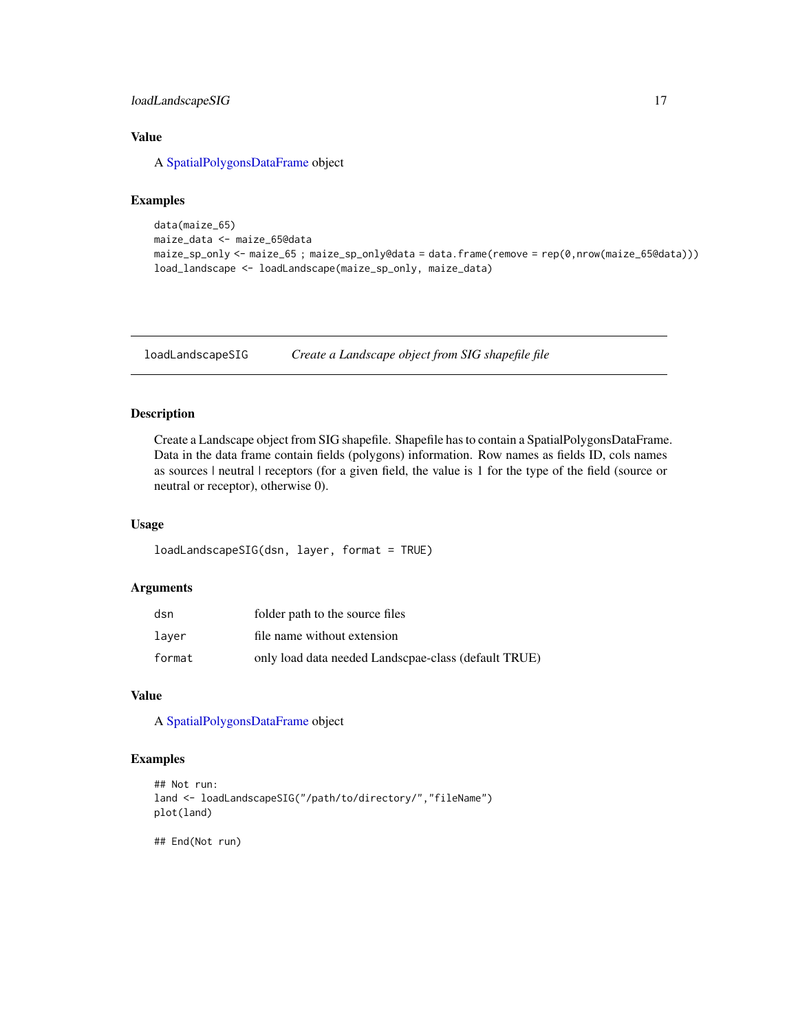#### <span id="page-16-0"></span>loadLandscapeSIG 17

## Value

A [SpatialPolygonsDataFrame](#page-0-0) object

## Examples

```
data(maize_65)
maize_data <- maize_65@data
maize_sp_only <- maize_65 ; maize_sp_only@data = data.frame(remove = rep(0,nrow(maize_65@data)))
load_landscape <- loadLandscape(maize_sp_only, maize_data)
```
loadLandscapeSIG *Create a Landscape object from SIG shapefile file*

#### Description

Create a Landscape object from SIG shapefile. Shapefile has to contain a SpatialPolygonsDataFrame. Data in the data frame contain fields (polygons) information. Row names as fields ID, cols names as sources | neutral | receptors (for a given field, the value is 1 for the type of the field (source or neutral or receptor), otherwise 0).

#### Usage

loadLandscapeSIG(dsn, layer, format = TRUE)

#### Arguments

| dsn    | folder path to the source files                      |
|--------|------------------------------------------------------|
| laver  | file name without extension                          |
| format | only load data needed Landscpae-class (default TRUE) |

#### Value

A [SpatialPolygonsDataFrame](#page-0-0) object

## Examples

```
## Not run:
land <- loadLandscapeSIG("/path/to/directory/","fileName")
plot(land)
```
## End(Not run)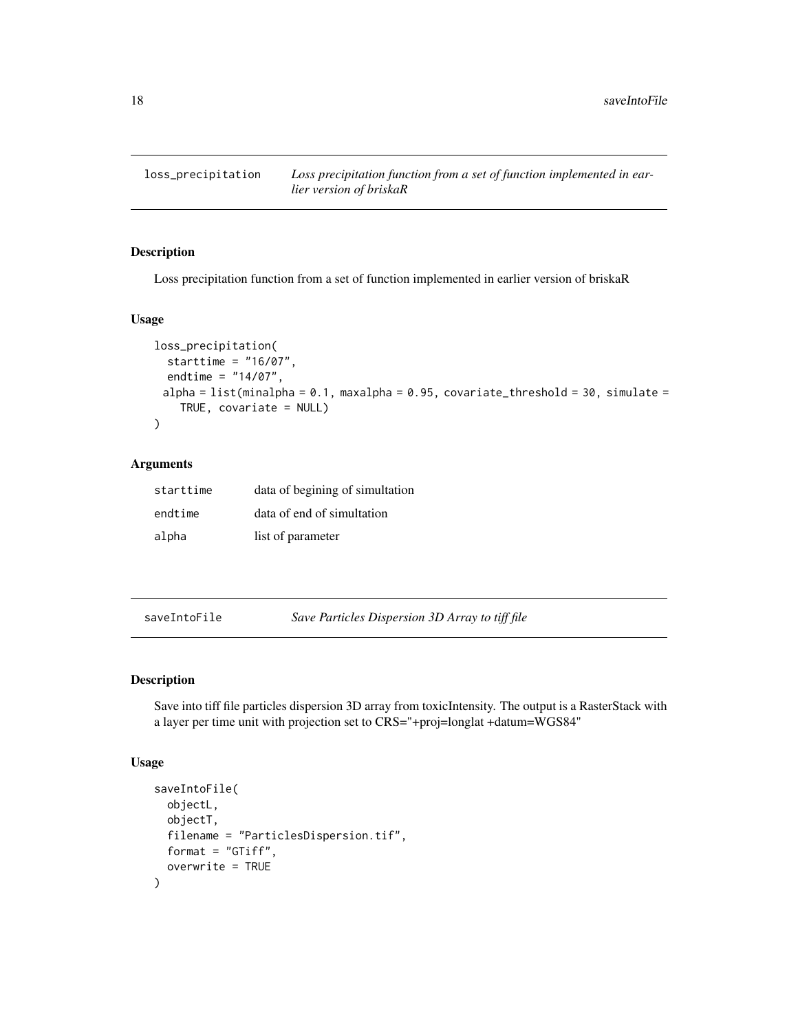<span id="page-17-0"></span>

Loss precipitation function from a set of function implemented in earlier version of briskaR

#### Usage

```
loss_precipitation(
  starttime = "16/07",
  endtime = "14/07",
 alpha = list(minalpha = 0.1, maxalpha = 0.95, covariate_threshold = 30, simulate =
    TRUE, covariate = NULL)
)
```
#### Arguments

| starttime | data of begining of simultation |
|-----------|---------------------------------|
| endtime   | data of end of simultation      |
| alpha     | list of parameter               |

saveIntoFile *Save Particles Dispersion 3D Array to tiff file*

#### Description

Save into tiff file particles dispersion 3D array from toxicIntensity. The output is a RasterStack with a layer per time unit with projection set to CRS="+proj=longlat +datum=WGS84"

```
saveIntoFile(
 objectL,
 objectT,
  filename = "ParticlesDispersion.tif",
 format = "GTiff",
  overwrite = TRUE
)
```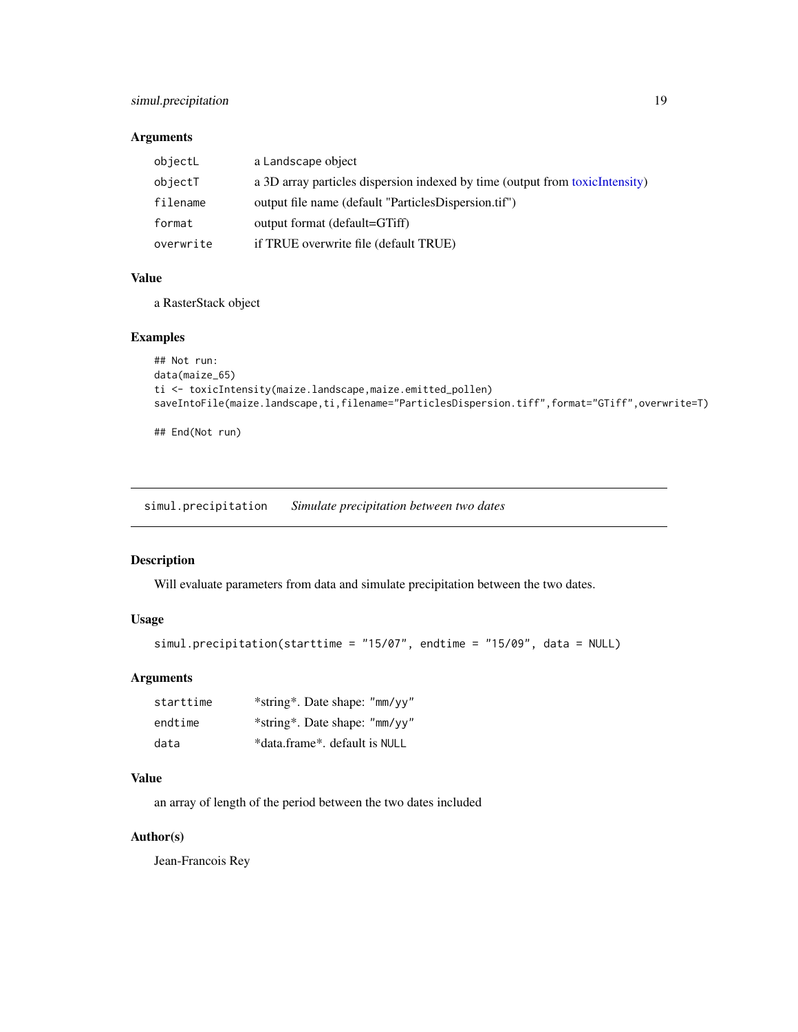### <span id="page-18-0"></span>simul.precipitation 19

#### Arguments

| objectL   | a Landscape object                                                           |
|-----------|------------------------------------------------------------------------------|
| objectT   | a 3D array particles dispersion indexed by time (output from toxicIntensity) |
| filename  | output file name (default "ParticlesDispersion.tif")                         |
| format    | output format (default=GTiff)                                                |
| overwrite | if TRUE overwrite file (default TRUE)                                        |

#### Value

a RasterStack object

#### Examples

```
## Not run:
data(maize_65)
ti <- toxicIntensity(maize.landscape,maize.emitted_pollen)
saveIntoFile(maize.landscape,ti,filename="ParticlesDispersion.tiff",format="GTiff",overwrite=T)
```
## End(Not run)

simul.precipitation *Simulate precipitation between two dates*

#### Description

Will evaluate parameters from data and simulate precipitation between the two dates.

## Usage

```
simul.precipitation(starttime = "15/07", endtime = "15/09", data = NULL)
```
#### Arguments

| starttime | *string*. Date shape: "mm/yy" |
|-----------|-------------------------------|
| endtime   | *string*. Date shape: "mm/yy" |
| data      | *data.frame*. default is NULL |

#### Value

an array of length of the period between the two dates included

## Author(s)

Jean-Francois Rey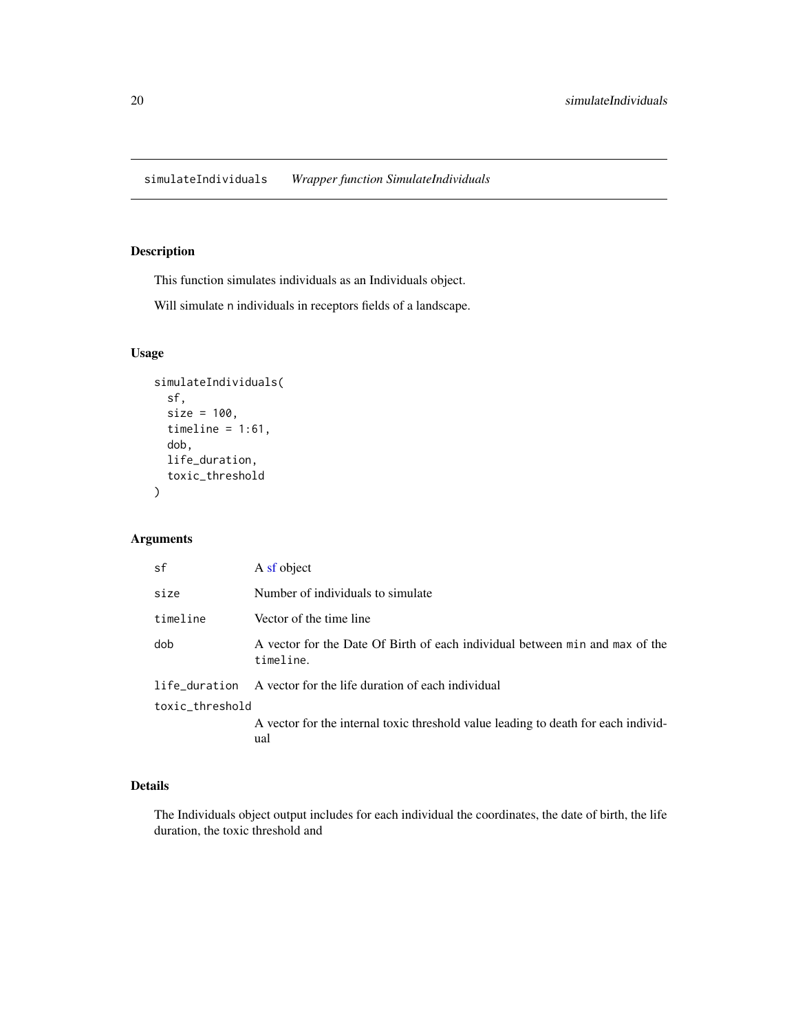<span id="page-19-0"></span>simulateIndividuals *Wrapper function SimulateIndividuals*

# Description

This function simulates individuals as an Individuals object.

Will simulate n individuals in receptors fields of a landscape.

#### Usage

```
simulateIndividuals(
  sf,
  size = 100,timeline = 1:61,
  dob,
 life_duration,
  toxic_threshold
)
```
#### Arguments

| sf              | A sf object                                                                               |
|-----------------|-------------------------------------------------------------------------------------------|
| size            | Number of individuals to simulate                                                         |
| timeline        | Vector of the time line                                                                   |
| dob             | A vector for the Date Of Birth of each individual between min and max of the<br>timeline. |
| life_duration   | A vector for the life duration of each individual                                         |
| toxic_threshold |                                                                                           |
|                 | A vector for the internal toxic threshold value leading to death for each individ-<br>ual |

#### Details

The Individuals object output includes for each individual the coordinates, the date of birth, the life duration, the toxic threshold and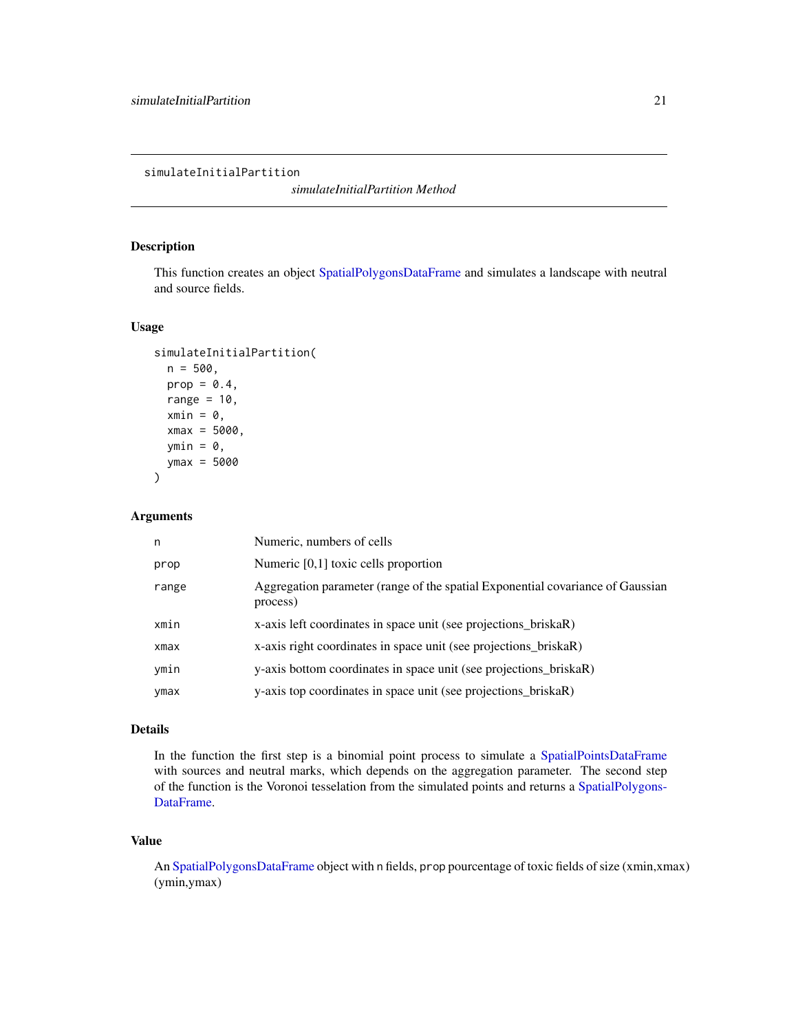<span id="page-20-1"></span><span id="page-20-0"></span>simulateInitialPartition

*simulateInitialPartition Method*

#### Description

This function creates an object [SpatialPolygonsDataFrame](#page-0-0) and simulates a landscape with neutral and source fields.

#### Usage

```
simulateInitialPartition(
 n = 500,
  prop = 0.4,
  range = 10,
  xmin = 0,
  xmax = 5000,
  ymin = 0,
  ymax = 5000
)
```
#### Arguments

| n     | Numeric, numbers of cells                                                                  |
|-------|--------------------------------------------------------------------------------------------|
| prop  | Numeric $[0,1]$ toxic cells proportion                                                     |
| range | Aggregation parameter (range of the spatial Exponential covariance of Gaussian<br>process) |
| xmin  | x-axis left coordinates in space unit (see projections_briskaR)                            |
| xmax  | x-axis right coordinates in space unit (see projections_briskaR)                           |
| ymin  | y-axis bottom coordinates in space unit (see projections_briskaR)                          |
| ymax  | y-axis top coordinates in space unit (see projections_briskaR)                             |

#### Details

In the function the first step is a binomial point process to simulate a [SpatialPointsDataFrame](#page-0-0) with sources and neutral marks, which depends on the aggregation parameter. The second step of the function is the Voronoi tesselation from the simulated points and returns a [SpatialPolygons-](#page-0-0)[DataFrame.](#page-0-0)

#### Value

An [SpatialPolygonsDataFrame](#page-0-0) object with n fields, prop pourcentage of toxic fields of size (xmin,xmax) (ymin,ymax)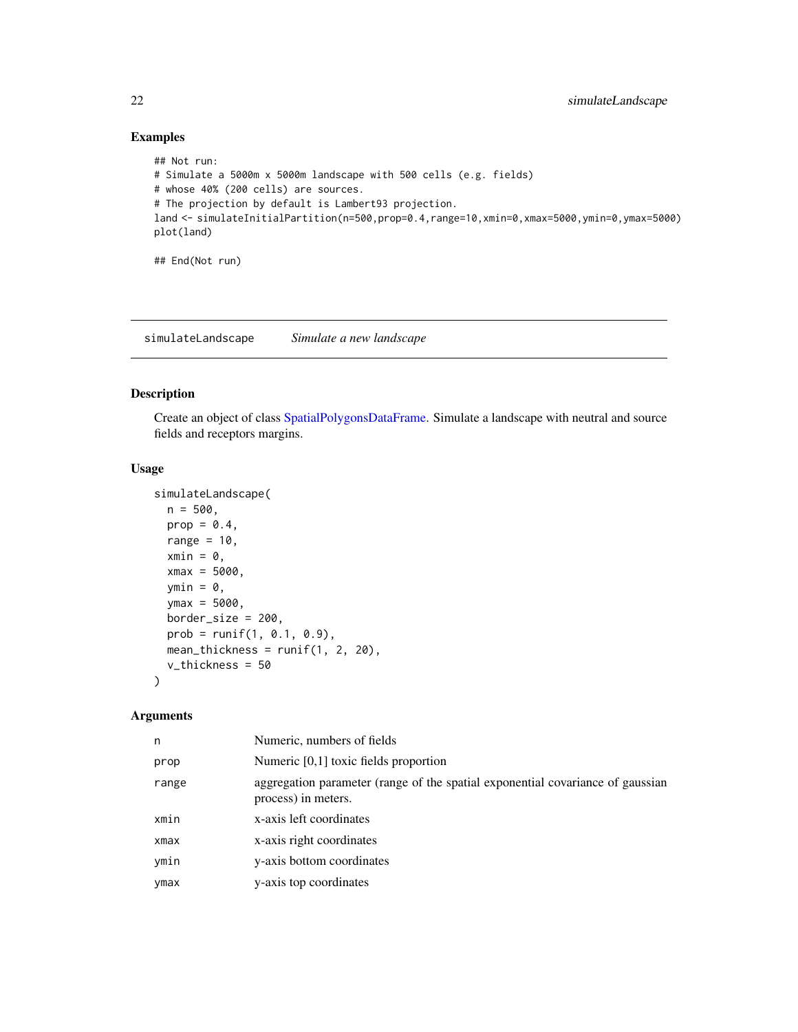## Examples

```
## Not run:
# Simulate a 5000m x 5000m landscape with 500 cells (e.g. fields)
# whose 40% (200 cells) are sources.
# The projection by default is Lambert93 projection.
land <- simulateInitialPartition(n=500,prop=0.4,range=10,xmin=0,xmax=5000,ymin=0,ymax=5000)
plot(land)
```
## End(Not run)

<span id="page-21-1"></span>simulateLandscape *Simulate a new landscape*

### Description

Create an object of class [SpatialPolygonsDataFrame.](#page-0-0) Simulate a landscape with neutral and source fields and receptors margins.

#### Usage

```
simulateLandscape(
 n = 500,prop = 0.4,
 range = 10,
  xmin = 0,
  xmax = 5000,
 ymin = 0,
 ymax = 5000,border_size = 200,
 prob = runif(1, 0.1, 0.9),mean_thickness = runif(1, 2, 20),
  v_thickness = 50
)
```

| n     | Numeric, numbers of fields                                                                            |
|-------|-------------------------------------------------------------------------------------------------------|
| prop  | Numeric $[0,1]$ toxic fields proportion                                                               |
| range | aggregation parameter (range of the spatial exponential covariance of gaussian<br>process) in meters. |
| xmin  | x-axis left coordinates                                                                               |
| xmax  | x-axis right coordinates                                                                              |
| ymin  | y-axis bottom coordinates                                                                             |
| ymax  | y-axis top coordinates                                                                                |

<span id="page-21-0"></span>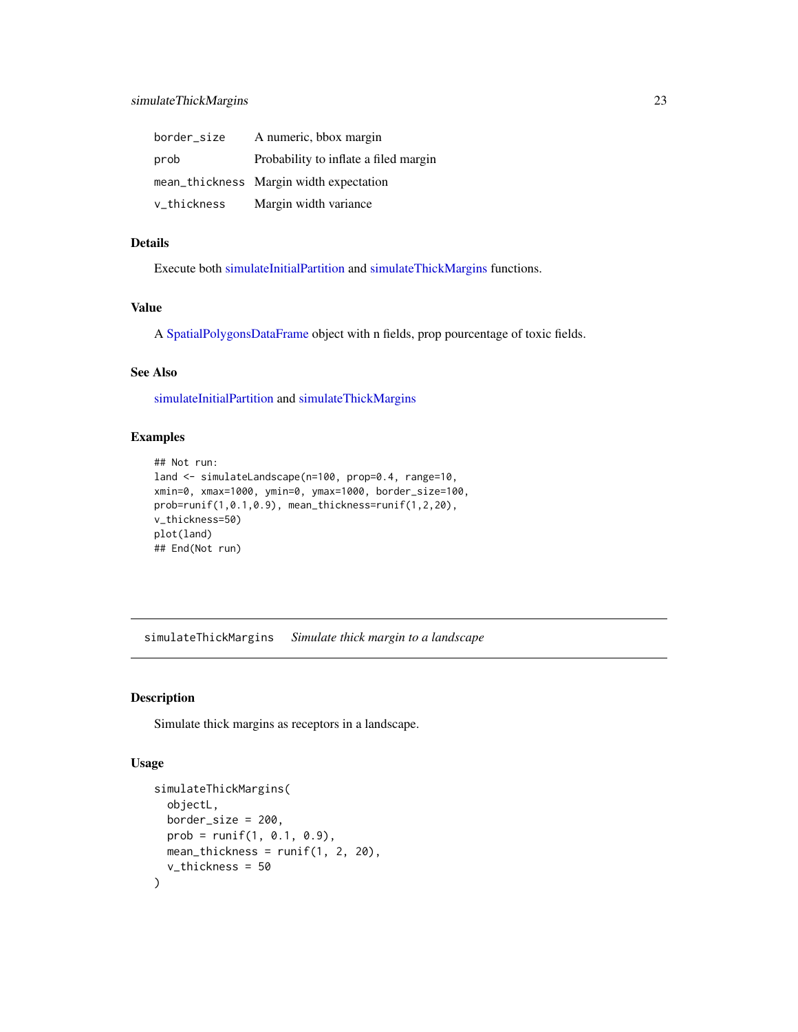<span id="page-22-0"></span>

| border_size | A numeric, bbox margin                  |
|-------------|-----------------------------------------|
| prob        | Probability to inflate a filed margin   |
|             | mean_thickness Margin width expectation |
| v_thickness | Margin width variance                   |

# Details

Execute both [simulateInitialPartition](#page-20-1) and [simulateThickMargins](#page-22-1) functions.

## Value

A [SpatialPolygonsDataFrame](#page-0-0) object with n fields, prop pourcentage of toxic fields.

# See Also

[simulateInitialPartition](#page-20-1) and [simulateThickMargins](#page-22-1)

#### Examples

```
## Not run:
land <- simulateLandscape(n=100, prop=0.4, range=10,
xmin=0, xmax=1000, ymin=0, ymax=1000, border_size=100,
prob=runif(1,0.1,0.9), mean_thickness=runif(1,2,20),
v_thickness=50)
plot(land)
## End(Not run)
```
<span id="page-22-1"></span>simulateThickMargins *Simulate thick margin to a landscape*

#### Description

Simulate thick margins as receptors in a landscape.

```
simulateThickMargins(
  objectL,
 border_size = 200,
 prob = runif(1, 0.1, 0.9),
 mean_thickness = runif(1, 2, 20),
  v_thickness = 50
)
```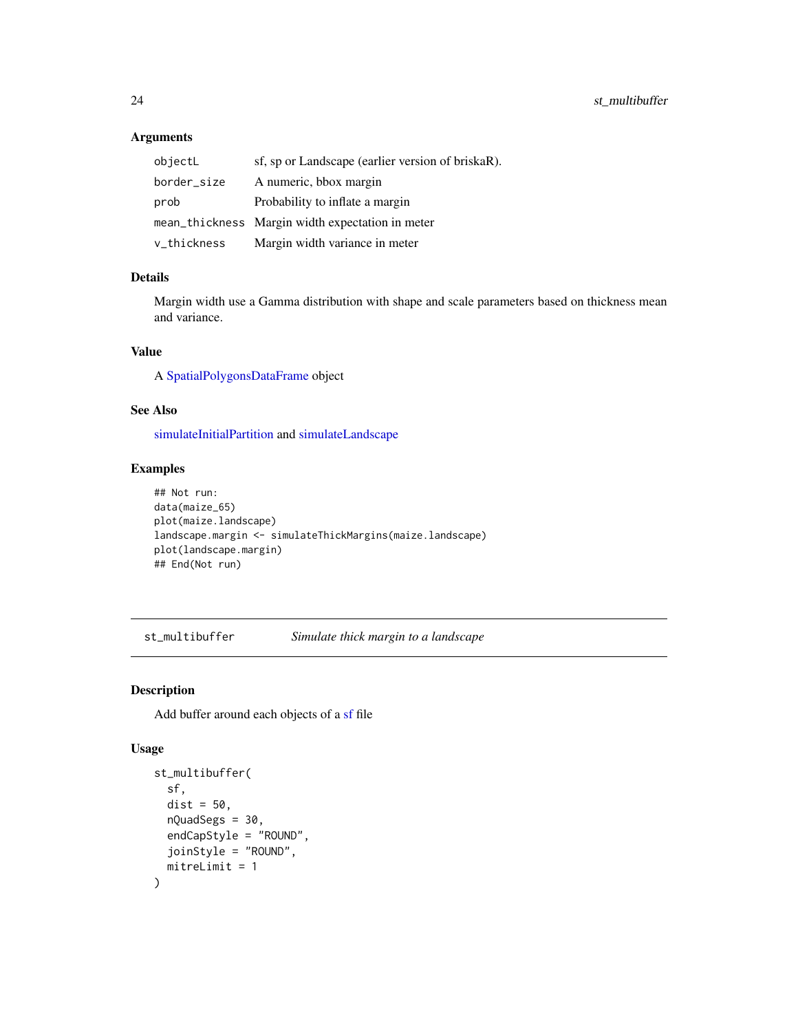## Arguments

| objectL     | sf, sp or Landscape (earlier version of briskaR). |
|-------------|---------------------------------------------------|
| border_size | A numeric, bbox margin                            |
| prob        | Probability to inflate a margin                   |
|             | mean_thickness Margin width expectation in meter  |
| v_thickness | Margin width variance in meter                    |

#### Details

Margin width use a Gamma distribution with shape and scale parameters based on thickness mean and variance.

## Value

A [SpatialPolygonsDataFrame](#page-0-0) object

## See Also

[simulateInitialPartition](#page-20-1) and [simulateLandscape](#page-21-1)

### Examples

```
## Not run:
data(maize_65)
plot(maize.landscape)
landscape.margin <- simulateThickMargins(maize.landscape)
plot(landscape.margin)
## End(Not run)
```
st\_multibuffer *Simulate thick margin to a landscape*

### Description

Add buffer around each objects of a [sf](#page-0-0) file

```
st_multibuffer(
  sf,
 dist = 50.
 nQuadSegs = 30,
 endCapStyle = "ROUND",
  joinStyle = "ROUND",
 mitreLimit = 1
)
```
<span id="page-23-0"></span>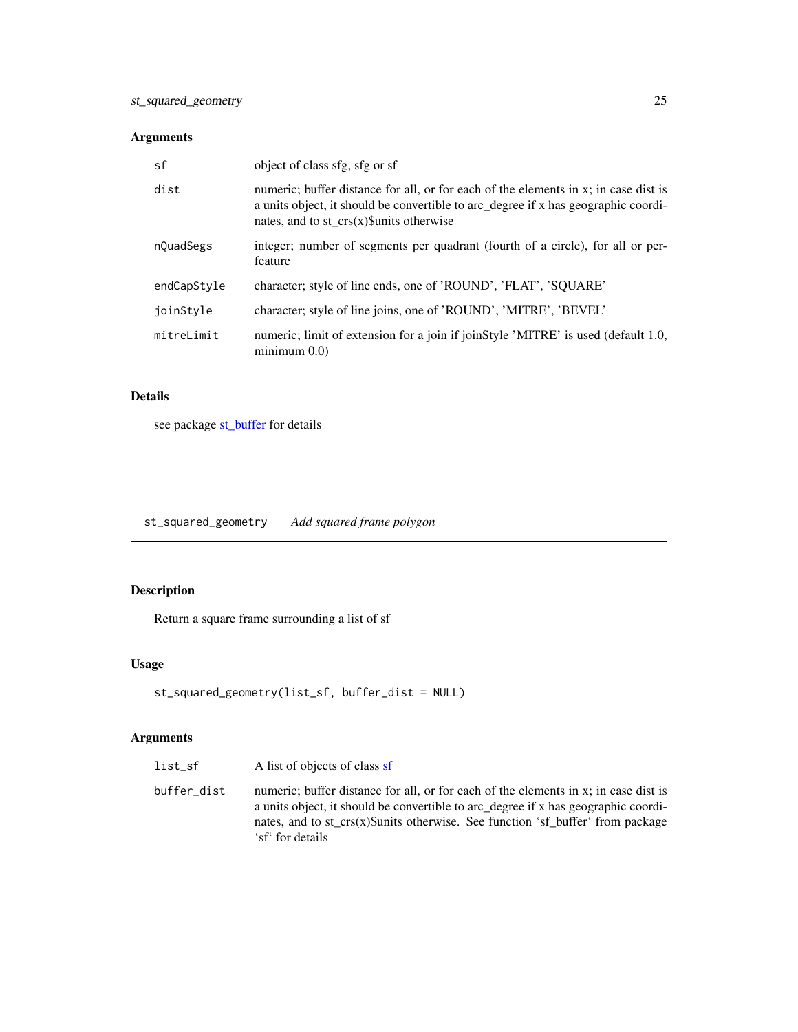## <span id="page-24-0"></span>Arguments

| sf          | object of class sfg, sfg or sf                                                                                                                                                                                            |
|-------------|---------------------------------------------------------------------------------------------------------------------------------------------------------------------------------------------------------------------------|
| dist        | numeric; buffer distance for all, or for each of the elements in x; in case dist is<br>a units object, it should be convertible to arc_degree if x has geographic coordi-<br>nates, and to $st\_crs(x)\$ sunits otherwise |
| nQuadSegs   | integer; number of segments per quadrant (fourth of a circle), for all or per-<br>feature                                                                                                                                 |
| endCapStyle | character; style of line ends, one of 'ROUND', 'FLAT', 'SQUARE'                                                                                                                                                           |
| joinStyle   | character; style of line joins, one of 'ROUND', 'MITRE', 'BEVEL'                                                                                                                                                          |
| mitreLimit  | numeric; limit of extension for a join if joinStyle 'MITRE' is used (default 1.0,<br>$minimum$ 0.0)                                                                                                                       |

# Details

see package [st\\_buffer](#page-0-0) for details

st\_squared\_geometry *Add squared frame polygon*

# Description

Return a square frame surrounding a list of sf

### Usage

```
st_squared_geometry(list_sf, buffer_dist = NULL)
```
### Arguments

buffer\_dist numeric; buffer distance for all, or for each of the elements in x; in case dist is a units object, it should be convertible to arc\_degree if x has geographic coordinates, and to st\_crs(x)\$units otherwise. See function 'sf\_buffer' from package 'sf' for details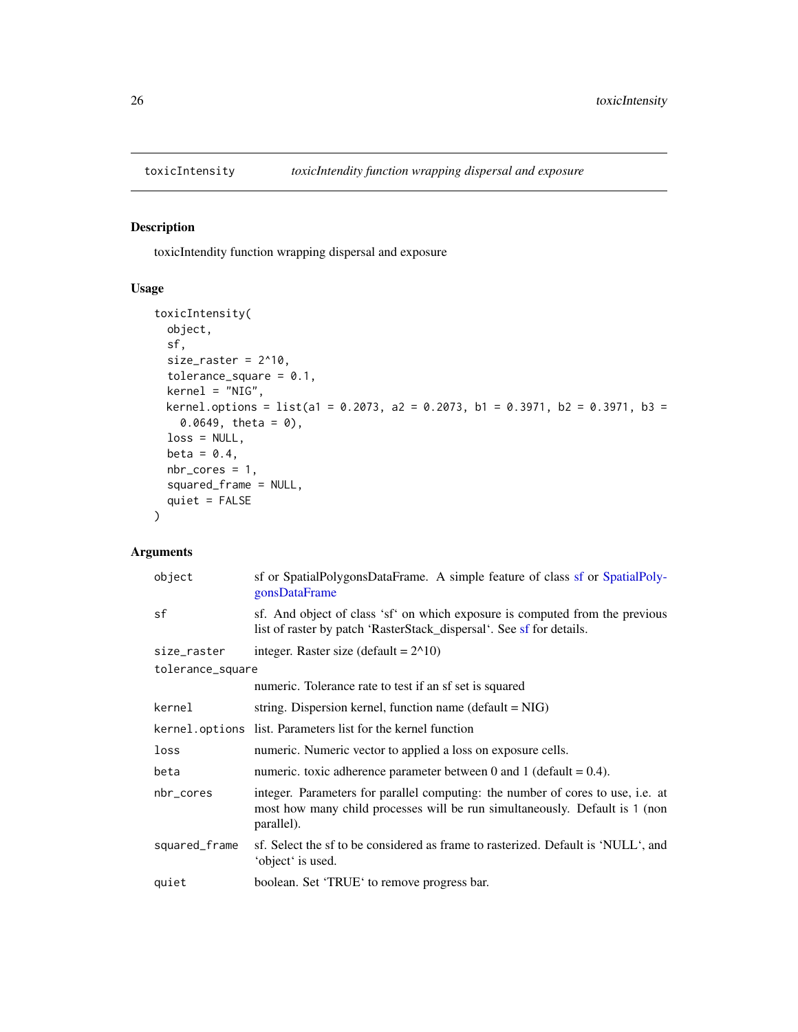<span id="page-25-1"></span><span id="page-25-0"></span>

toxicIntendity function wrapping dispersal and exposure

# Usage

```
toxicIntensity(
  object,
 sf,
 size\_raster = 2^10,
 tolerance_square = 0.1,
 kernel = "NIG",
 kernel.options = list(a1 = 0.2073, a2 = 0.2073, b1 = 0.3971, b2 = 0.3971, b3 =
    0.0649, theta = 0),
 loss = NULL,beta = 0.4,
 nbr_cores = 1,
  squared_frame = NULL,
  quiet = FALSE
\mathcal{L}
```

| object           | sf or SpatialPolygonsDataFrame. A simple feature of class sf or SpatialPoly-<br>gonsDataFrame                                                                                |
|------------------|------------------------------------------------------------------------------------------------------------------------------------------------------------------------------|
| sf               | sf. And object of class 'sf' on which exposure is computed from the previous<br>list of raster by patch 'RasterStack_dispersal'. See sf for details.                         |
| size_raster      | integer. Raster size (default = $2^{\wedge}10$ )                                                                                                                             |
| tolerance_square |                                                                                                                                                                              |
|                  | numeric. Tolerance rate to test if an sf set is squared                                                                                                                      |
| kernel           | string. Dispersion kernel, function name (default = $NIG$ )                                                                                                                  |
|                  | kernel.options list. Parameters list for the kernel function                                                                                                                 |
| loss             | numeric. Numeric vector to applied a loss on exposure cells.                                                                                                                 |
| beta             | numeric. toxic adherence parameter between 0 and 1 (default = $0.4$ ).                                                                                                       |
| nbr_cores        | integer. Parameters for parallel computing: the number of cores to use, i.e. at<br>most how many child processes will be run simultaneously. Default is 1 (non<br>parallel). |
| squared_frame    | sf. Select the sf to be considered as frame to rasterized. Default is 'NULL', and<br>'object' is used.                                                                       |
| quiet            | boolean. Set 'TRUE' to remove progress bar.                                                                                                                                  |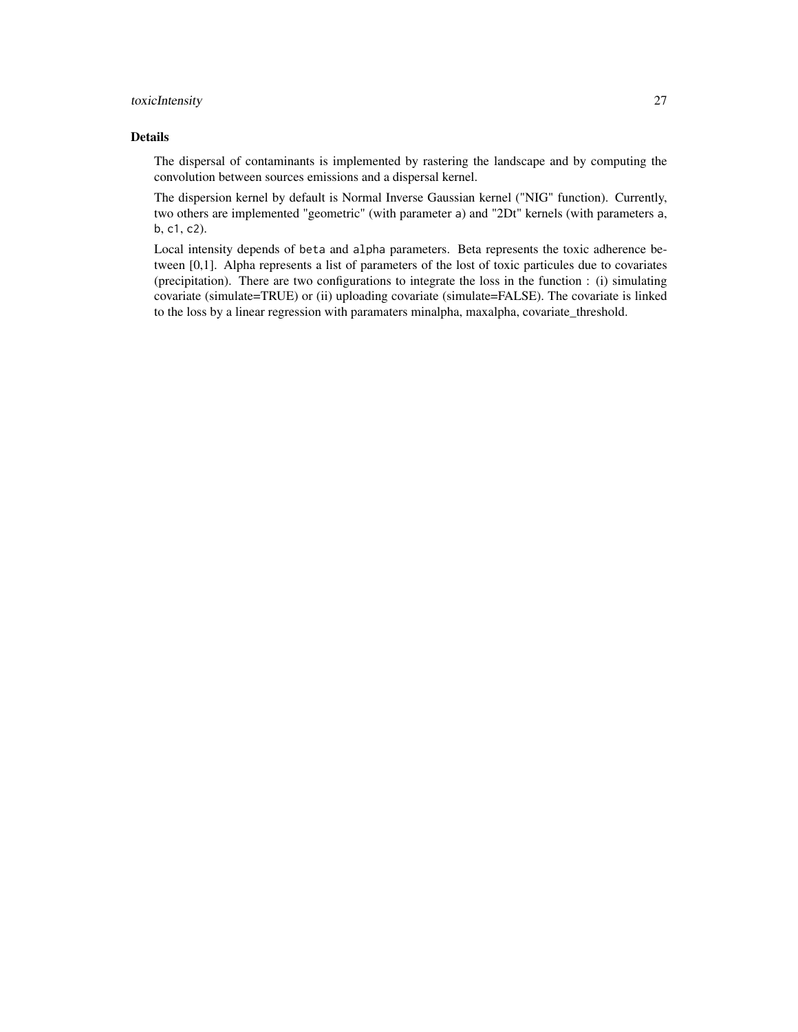### toxicIntensity 27

#### Details

The dispersal of contaminants is implemented by rastering the landscape and by computing the convolution between sources emissions and a dispersal kernel.

The dispersion kernel by default is Normal Inverse Gaussian kernel ("NIG" function). Currently, two others are implemented "geometric" (with parameter a) and "2Dt" kernels (with parameters a, b, c1, c2).

Local intensity depends of beta and alpha parameters. Beta represents the toxic adherence between [0,1]. Alpha represents a list of parameters of the lost of toxic particules due to covariates (precipitation). There are two configurations to integrate the loss in the function : (i) simulating covariate (simulate=TRUE) or (ii) uploading covariate (simulate=FALSE). The covariate is linked to the loss by a linear regression with paramaters minalpha, maxalpha, covariate\_threshold.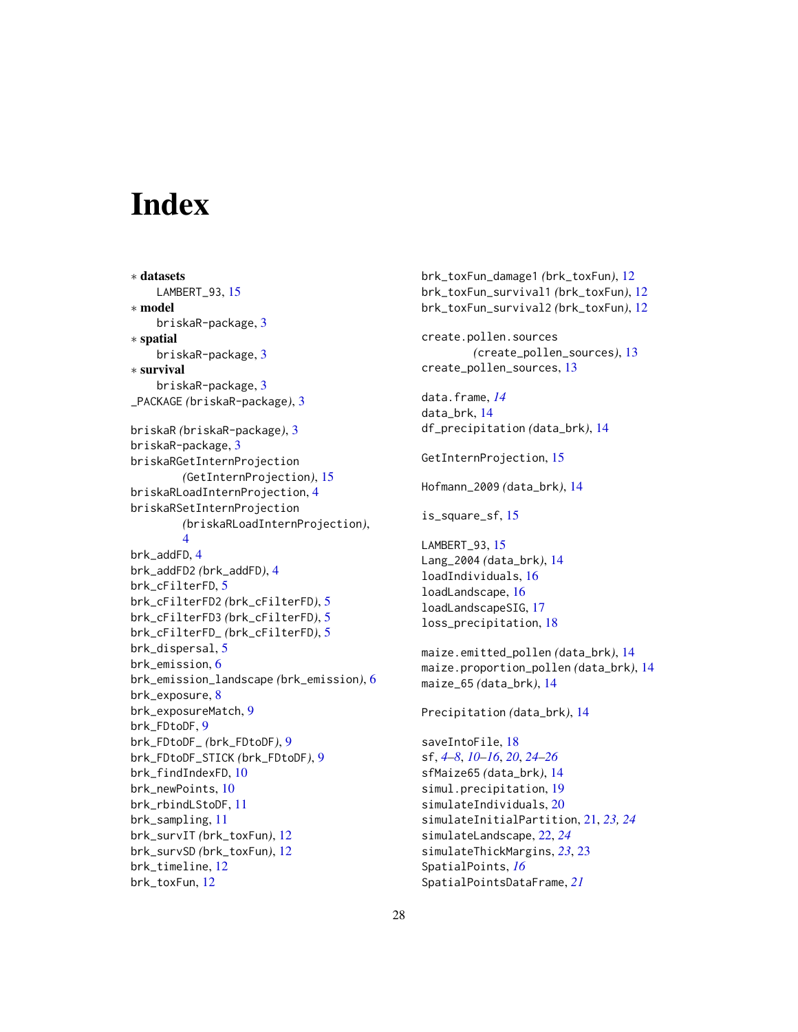# <span id="page-27-0"></span>**Index**

∗ datasets LAMBERT\_93, [15](#page-14-0) ∗ model briskaR-package, [3](#page-2-0) ∗ spatial briskaR-package, [3](#page-2-0) ∗ survival briskaR-package, [3](#page-2-0) \_PACKAGE *(*briskaR-package*)*, [3](#page-2-0) briskaR *(*briskaR-package*)*, [3](#page-2-0) briskaR-package, [3](#page-2-0) briskaRGetInternProjection *(*GetInternProjection*)*, [15](#page-14-0) briskaRLoadInternProjection, [4](#page-3-0) briskaRSetInternProjection *(*briskaRLoadInternProjection*)*, [4](#page-3-0) brk\_addFD, [4](#page-3-0) brk\_addFD2 *(*brk\_addFD*)*, [4](#page-3-0) brk\_cFilterFD, [5](#page-4-0) brk\_cFilterFD2 *(*brk\_cFilterFD*)*, [5](#page-4-0) brk\_cFilterFD3 *(*brk\_cFilterFD*)*, [5](#page-4-0) brk\_cFilterFD\_ *(*brk\_cFilterFD*)*, [5](#page-4-0) brk\_dispersal, [5](#page-4-0) brk\_emission, [6](#page-5-0) brk\_emission\_landscape *(*brk\_emission*)*, [6](#page-5-0) brk\_exposure, [8](#page-7-0) brk\_exposureMatch, [9](#page-8-0) brk\_FDtoDF, [9](#page-8-0) brk\_FDtoDF\_ *(*brk\_FDtoDF*)*, [9](#page-8-0) brk\_FDtoDF\_STICK *(*brk\_FDtoDF*)*, [9](#page-8-0) brk\_findIndexFD, [10](#page-9-0) brk\_newPoints, [10](#page-9-0) brk\_rbindLStoDF, [11](#page-10-0) brk\_sampling, [11](#page-10-0) brk\_survIT *(*brk\_toxFun*)*, [12](#page-11-0) brk\_survSD *(*brk\_toxFun*)*, [12](#page-11-0) brk\_timeline, [12](#page-11-0) brk\_toxFun, [12](#page-11-0)

brk\_toxFun\_damage1 *(*brk\_toxFun*)*, [12](#page-11-0) brk\_toxFun\_survival1 *(*brk\_toxFun*)*, [12](#page-11-0) brk\_toxFun\_survival2 *(*brk\_toxFun*)*, [12](#page-11-0) create.pollen.sources *(*create\_pollen\_sources*)*, [13](#page-12-0) create\_pollen\_sources, [13](#page-12-0) data.frame, *[14](#page-13-0)* data\_brk, [14](#page-13-0) df\_precipitation *(*data\_brk*)*, [14](#page-13-0) GetInternProjection, [15](#page-14-0) Hofmann\_2009 *(*data\_brk*)*, [14](#page-13-0) is\_square\_sf, [15](#page-14-0) LAMBERT\_93, [15](#page-14-0) Lang\_2004 *(*data\_brk*)*, [14](#page-13-0) loadIndividuals, [16](#page-15-0) loadLandscape, [16](#page-15-0) loadLandscapeSIG, [17](#page-16-0) loss\_precipitation, [18](#page-17-0) maize.emitted\_pollen *(*data\_brk*)*, [14](#page-13-0) maize.proportion\_pollen *(*data\_brk*)*, [14](#page-13-0) maize\_65 *(*data\_brk*)*, [14](#page-13-0) Precipitation *(*data\_brk*)*, [14](#page-13-0) saveIntoFile, [18](#page-17-0) sf, *[4–](#page-3-0)[8](#page-7-0)*, *[10](#page-9-0)[–16](#page-15-0)*, *[20](#page-19-0)*, *[24](#page-23-0)[–26](#page-25-0)* sfMaize65 *(*data\_brk*)*, [14](#page-13-0) simul.precipitation, [19](#page-18-0) simulateIndividuals, [20](#page-19-0) simulateInitialPartition, [21,](#page-20-0) *[23,](#page-22-0) [24](#page-23-0)* simulateLandscape, [22,](#page-21-0) *[24](#page-23-0)* simulateThickMargins, *[23](#page-22-0)*, [23](#page-22-0) SpatialPoints, *[16](#page-15-0)* SpatialPointsDataFrame, *[21](#page-20-0)*